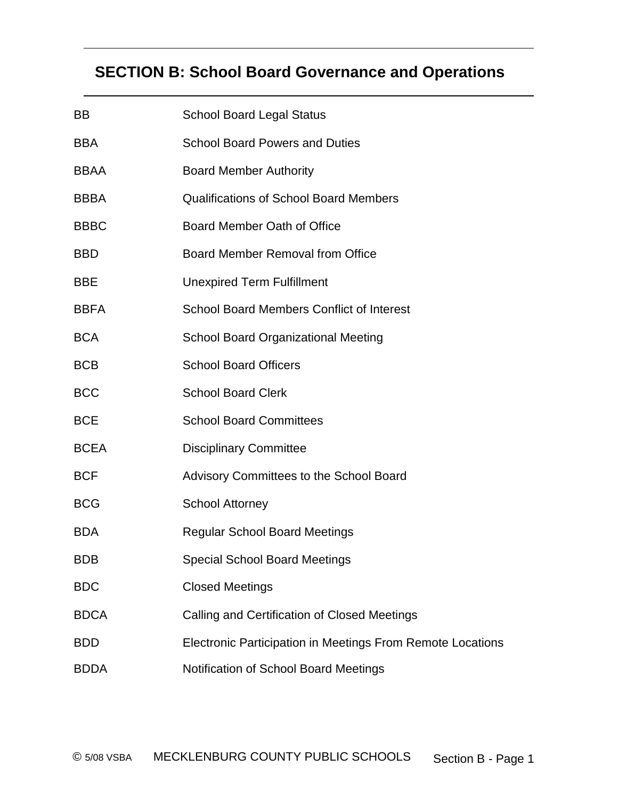# **SECTION B: School Board Governance and Operations**

| BB          | <b>School Board Legal Status</b>                           |  |
|-------------|------------------------------------------------------------|--|
| <b>BBA</b>  | <b>School Board Powers and Duties</b>                      |  |
| <b>BBAA</b> | <b>Board Member Authority</b>                              |  |
| <b>BBBA</b> | <b>Qualifications of School Board Members</b>              |  |
| <b>BBBC</b> | Board Member Oath of Office                                |  |
| <b>BBD</b>  | <b>Board Member Removal from Office</b>                    |  |
| <b>BBE</b>  | <b>Unexpired Term Fulfillment</b>                          |  |
| <b>BBFA</b> | <b>School Board Members Conflict of Interest</b>           |  |
| <b>BCA</b>  | <b>School Board Organizational Meeting</b>                 |  |
| <b>BCB</b>  | <b>School Board Officers</b>                               |  |
| <b>BCC</b>  | <b>School Board Clerk</b>                                  |  |
| <b>BCE</b>  | <b>School Board Committees</b>                             |  |
| <b>BCEA</b> | <b>Disciplinary Committee</b>                              |  |
| <b>BCF</b>  | Advisory Committees to the School Board                    |  |
| <b>BCG</b>  | <b>School Attorney</b>                                     |  |
| <b>BDA</b>  | <b>Regular School Board Meetings</b>                       |  |
| <b>BDB</b>  | <b>Special School Board Meetings</b>                       |  |
| <b>BDC</b>  | <b>Closed Meetings</b>                                     |  |
| <b>BDCA</b> | Calling and Certification of Closed Meetings               |  |
| <b>BDD</b>  | Electronic Participation in Meetings From Remote Locations |  |
| <b>BDDA</b> | Notification of School Board Meetings                      |  |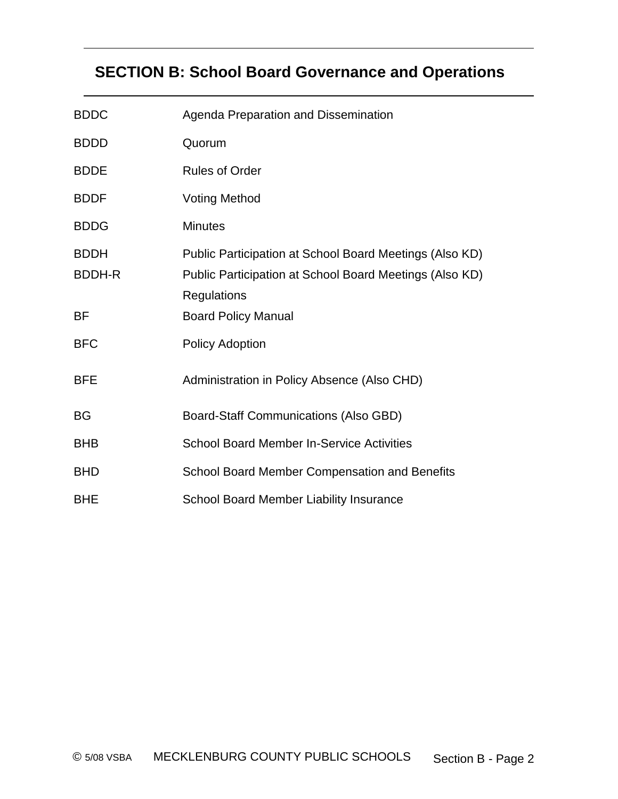# **SECTION B: School Board Governance and Operations**

| <b>BDDC</b>                  | Agenda Preparation and Dissemination                                                                                                     |
|------------------------------|------------------------------------------------------------------------------------------------------------------------------------------|
| <b>BDDD</b>                  | Quorum                                                                                                                                   |
| <b>BDDE</b>                  | <b>Rules of Order</b>                                                                                                                    |
| <b>BDDF</b>                  | <b>Voting Method</b>                                                                                                                     |
| <b>BDDG</b>                  | <b>Minutes</b>                                                                                                                           |
| <b>BDDH</b><br><b>BDDH-R</b> | Public Participation at School Board Meetings (Also KD)<br>Public Participation at School Board Meetings (Also KD)<br><b>Regulations</b> |
| ΒF                           | <b>Board Policy Manual</b>                                                                                                               |
| <b>BFC</b>                   | <b>Policy Adoption</b>                                                                                                                   |
| <b>BFE</b>                   | Administration in Policy Absence (Also CHD)                                                                                              |
| <b>BG</b>                    | <b>Board-Staff Communications (Also GBD)</b>                                                                                             |
| <b>BHB</b>                   | <b>School Board Member In-Service Activities</b>                                                                                         |
| <b>BHD</b>                   | School Board Member Compensation and Benefits                                                                                            |
| <b>BHE</b>                   | School Board Member Liability Insurance                                                                                                  |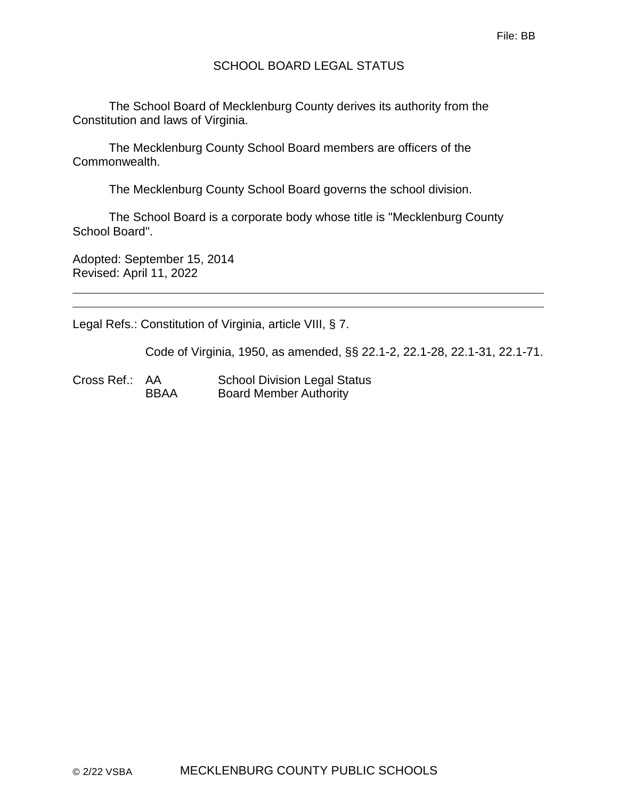## SCHOOL BOARD LEGAL STATUS

The School Board of Mecklenburg County derives its authority from the Constitution and laws of Virginia.

The Mecklenburg County School Board members are officers of the Commonwealth.

The Mecklenburg County School Board governs the school division.

The School Board is a corporate body whose title is "Mecklenburg County School Board".

Adopted: September 15, 2014 Revised: April 11, 2022

Legal Refs.: Constitution of Virginia, article VIII, § 7.

Code of Virginia, 1950, as amended, §§ 22.1-2, 22.1-28, 22.1-31, 22.1-71.

Cross Ref.: AA School Division Legal Status BBAA Board Member Authority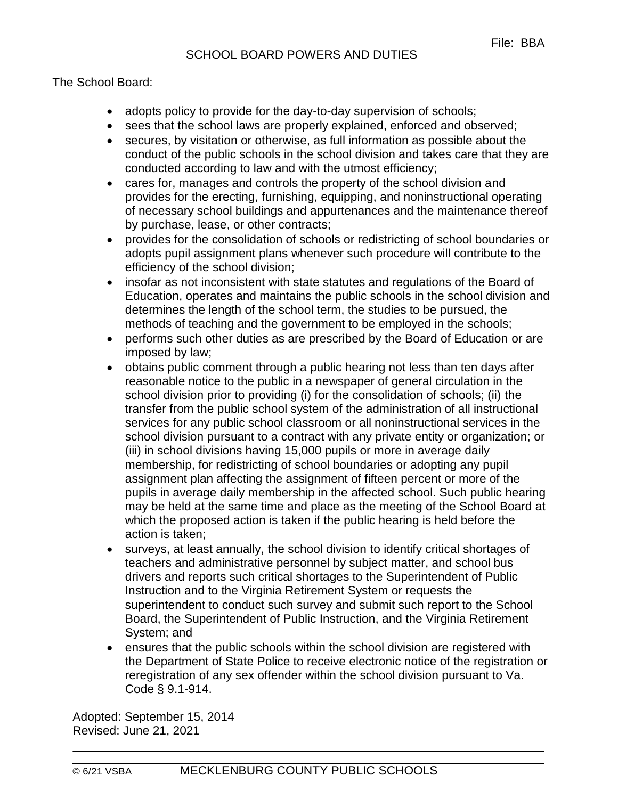The School Board:

- adopts policy to provide for the day-to-day supervision of schools;
- sees that the school laws are properly explained, enforced and observed;
- secures, by visitation or otherwise, as full information as possible about the conduct of the public schools in the school division and takes care that they are conducted according to law and with the utmost efficiency;
- cares for, manages and controls the property of the school division and provides for the erecting, furnishing, equipping, and noninstructional operating of necessary school buildings and appurtenances and the maintenance thereof by purchase, lease, or other contracts;
- provides for the consolidation of schools or redistricting of school boundaries or adopts pupil assignment plans whenever such procedure will contribute to the efficiency of the school division;
- insofar as not inconsistent with state statutes and regulations of the Board of Education, operates and maintains the public schools in the school division and determines the length of the school term, the studies to be pursued, the methods of teaching and the government to be employed in the schools;
- performs such other duties as are prescribed by the Board of Education or are imposed by law;
- obtains public comment through a public hearing not less than ten days after reasonable notice to the public in a newspaper of general circulation in the school division prior to providing (i) for the consolidation of schools; (ii) the transfer from the public school system of the administration of all instructional services for any public school classroom or all noninstructional services in the school division pursuant to a contract with any private entity or organization; or (iii) in school divisions having 15,000 pupils or more in average daily membership, for redistricting of school boundaries or adopting any pupil assignment plan affecting the assignment of fifteen percent or more of the pupils in average daily membership in the affected school. Such public hearing may be held at the same time and place as the meeting of the School Board at which the proposed action is taken if the public hearing is held before the action is taken;
- surveys, at least annually, the school division to identify critical shortages of teachers and administrative personnel by subject matter, and school bus drivers and reports such critical shortages to the Superintendent of Public Instruction and to the Virginia Retirement System or requests the superintendent to conduct such survey and submit such report to the School Board, the Superintendent of Public Instruction, and the Virginia Retirement System; and
- ensures that the public schools within the school division are registered with the Department of State Police to receive electronic notice of the registration or reregistration of any sex offender within the school division pursuant to Va. Code § 9.1-914.

Adopted: September 15, 2014 Revised: June 21, 2021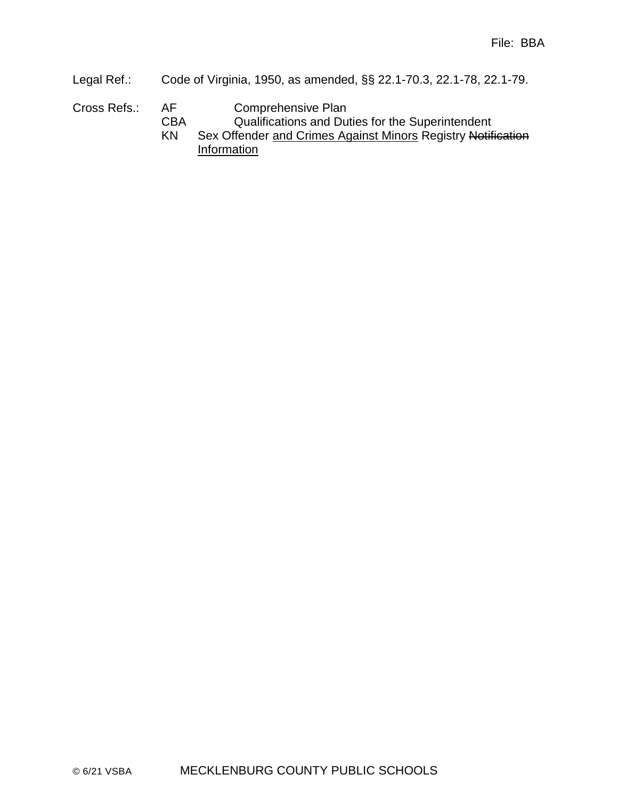- Legal Ref.: Code of Virginia, 1950, as amended, §§ 22.1-70.3, 22.1-78, 22.1-79.
- Cross Refs.: AF Comprehensive Plan
	- CBA Qualifications and Duties for the Superintendent
	- KN Sex Offender and Crimes Against Minors Registry Notification **Information**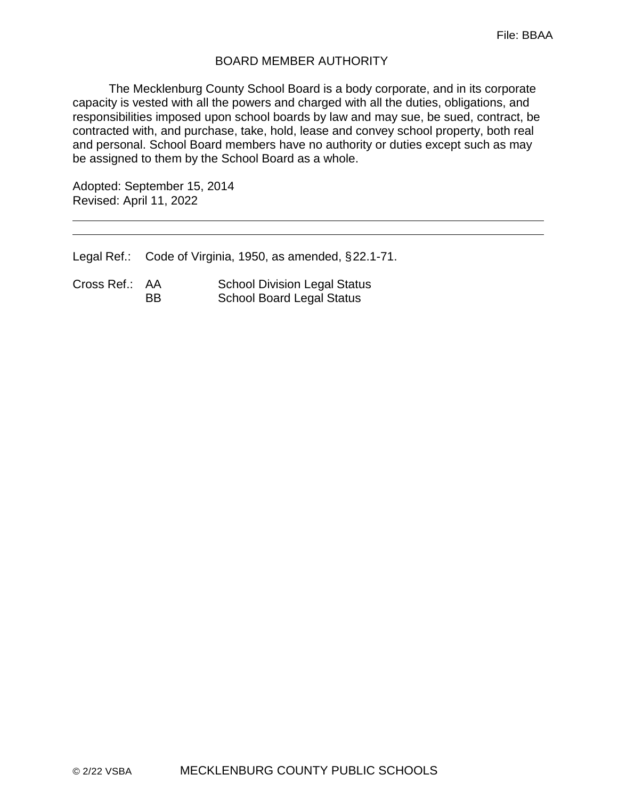#### BOARD MEMBER AUTHORITY

The Mecklenburg County School Board is a body corporate, and in its corporate capacity is vested with all the powers and charged with all the duties, obligations, and responsibilities imposed upon school boards by law and may sue, be sued, contract, be contracted with, and purchase, take, hold, lease and convey school property, both real and personal. School Board members have no authority or duties except such as may be assigned to them by the School Board as a whole.

Adopted: September 15, 2014 Revised: April 11, 2022

Legal Ref.: Code of Virginia, 1950, as amended, §22.1-71.

Cross Ref.: AA School Division Legal Status BB School Board Legal Status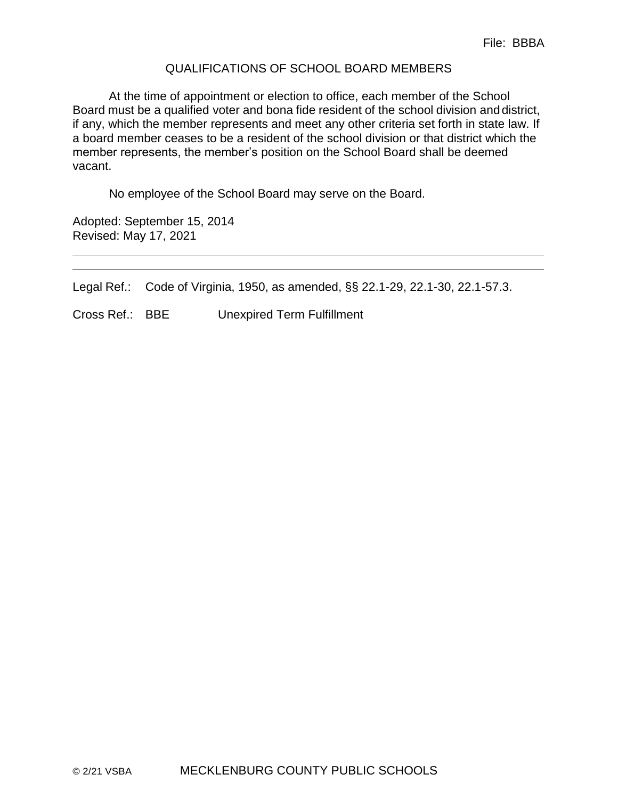#### QUALIFICATIONS OF SCHOOL BOARD MEMBERS

At the time of appointment or election to office, each member of the School Board must be a qualified voter and bona fide resident of the school division anddistrict, if any, which the member represents and meet any other criteria set forth in state law. If a board member ceases to be a resident of the school division or that district which the member represents, the member's position on the School Board shall be deemed vacant.

No employee of the School Board may serve on the Board.

Adopted: September 15, 2014 Revised: May 17, 2021

Legal Ref.: Code of Virginia, 1950, as amended, §§ 22.1-29, 22.1-30, 22.1-57.3.

Cross Ref.: BBE Unexpired Term Fulfillment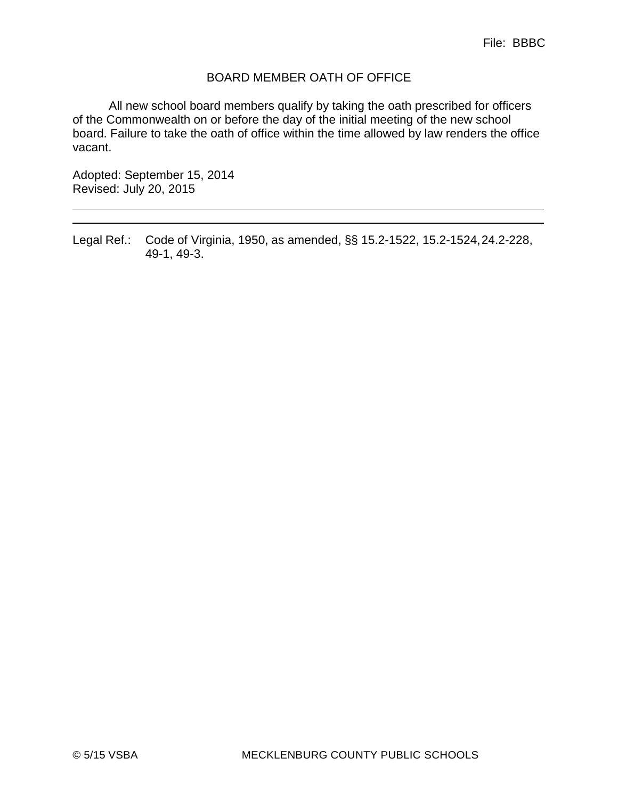## BOARD MEMBER OATH OF OFFICE

All new school board members qualify by taking the oath prescribed for officers of the Commonwealth on or before the day of the initial meeting of the new school board. Failure to take the oath of office within the time allowed by law renders the office vacant.

Adopted: September 15, 2014 Revised: July 20, 2015

Legal Ref.: Code of Virginia, 1950, as amended, §§ 15.2-1522, 15.2-1524,24.2-228, 49-1, 49-3.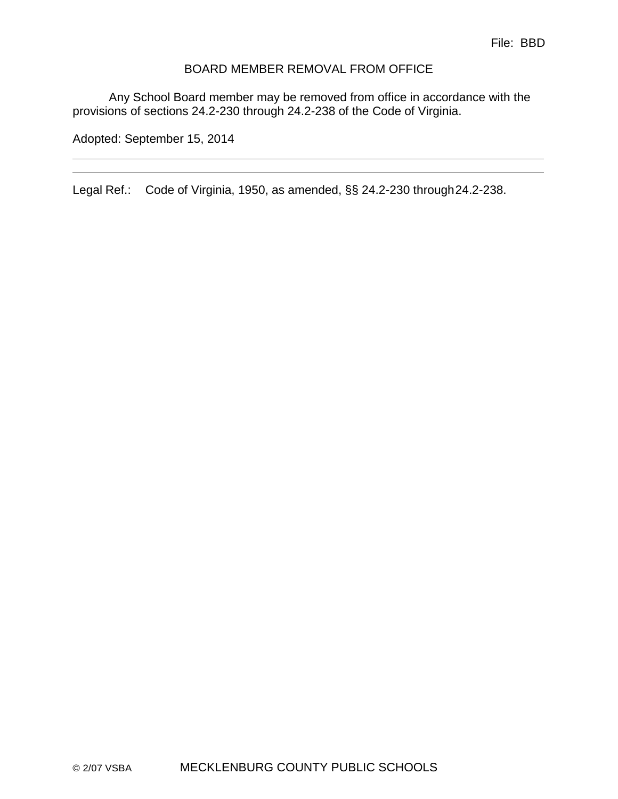#### BOARD MEMBER REMOVAL FROM OFFICE

Any School Board member may be removed from office in accordance with the provisions of sections 24.2-230 through 24.2-238 of the Code of Virginia.

Adopted: September 15, 2014

Legal Ref.: Code of Virginia, 1950, as amended, §§ 24.2-230 through24.2-238.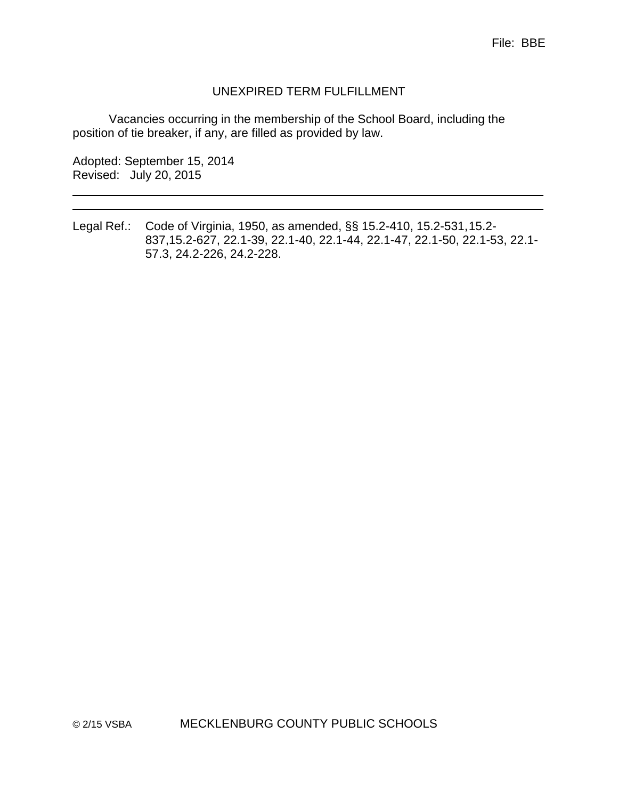## UNEXPIRED TERM FULFILLMENT

Vacancies occurring in the membership of the School Board, including the position of tie breaker, if any, are filled as provided by law.

Adopted: September 15, 2014 Revised: July 20, 2015

Legal Ref.: Code of Virginia, 1950, as amended, §§ 15.2-410, 15.2-531,15.2- 837,15.2-627, 22.1-39, 22.1-40, 22.1-44, 22.1-47, 22.1-50, 22.1-53, 22.1- 57.3, 24.2-226, 24.2-228.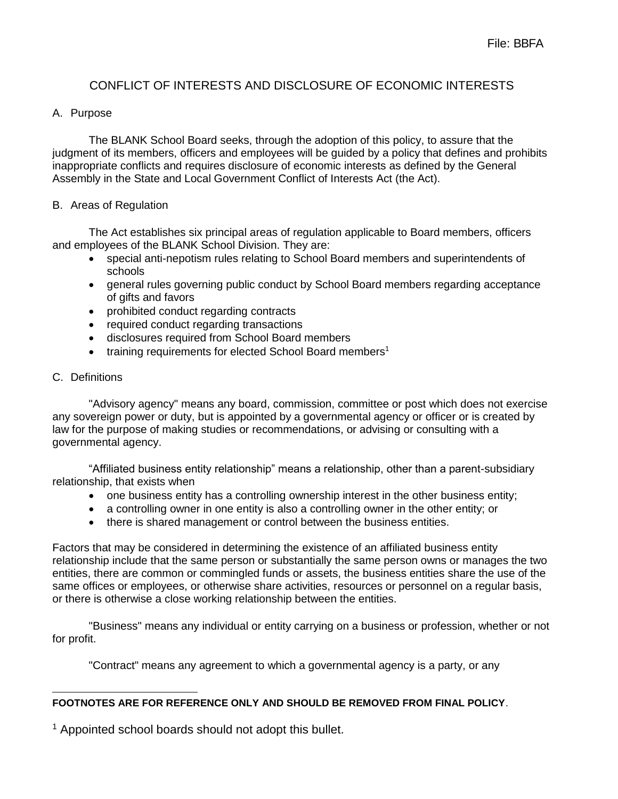# CONFLICT OF INTERESTS AND DISCLOSURE OF ECONOMIC INTERESTS

## A. Purpose

The BLANK School Board seeks, through the adoption of this policy, to assure that the judgment of its members, officers and employees will be guided by a policy that defines and prohibits inappropriate conflicts and requires disclosure of economic interests as defined by the General Assembly in the State and Local Government Conflict of Interests Act (the Act).

#### B. Areas of Regulation

The Act establishes six principal areas of regulation applicable to Board members, officers and employees of the BLANK School Division. They are:

- special anti-nepotism rules relating to School Board members and superintendents of schools
- general rules governing public conduct by School Board members regarding acceptance of gifts and favors
- prohibited conduct regarding contracts
- required conduct regarding transactions
- disclosures required from School Board members
- training requirements for elected School Board members<sup>1</sup>

#### C. Definitions

"Advisory agency" means any board, commission, committee or post which does not exercise any sovereign power or duty, but is appointed by a governmental agency or officer or is created by law for the purpose of making studies or recommendations, or advising or consulting with a governmental agency.

"Affiliated business entity relationship" means a relationship, other than a parent-subsidiary relationship, that exists when

- one business entity has a controlling ownership interest in the other business entity;
- a controlling owner in one entity is also a controlling owner in the other entity; or
- there is shared management or control between the business entities.

Factors that may be considered in determining the existence of an affiliated business entity relationship include that the same person or substantially the same person owns or manages the two entities, there are common or commingled funds or assets, the business entities share the use of the same offices or employees, or otherwise share activities, resources or personnel on a regular basis, or there is otherwise a close working relationship between the entities.

"Business" means any individual or entity carrying on a business or profession, whether or not for profit.

"Contract" means any agreement to which a governmental agency is a party, or any

#### **FOOTNOTES ARE FOR REFERENCE ONLY AND SHOULD BE REMOVED FROM FINAL POLICY**.

<sup>1</sup> Appointed school boards should not adopt this bullet.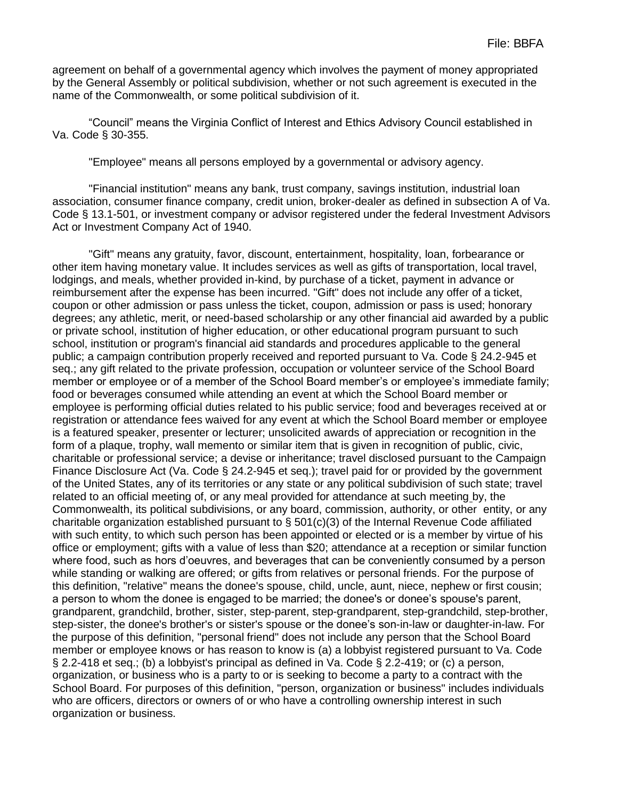agreement on behalf of a governmental agency which involves the payment of money appropriated by the General Assembly or political subdivision, whether or not such agreement is executed in the name of the Commonwealth, or some political subdivision of it.

"Council" means the Virginia Conflict of Interest and Ethics Advisory Council established in Va. Code § 30-355.

"Employee" means all persons employed by a governmental or advisory agency.

"Financial institution" means any bank, trust company, savings institution, industrial loan association, consumer finance company, credit union, broker-dealer as defined in subsection A of Va. Code § 13.1-501, or investment company or advisor registered under the federal Investment Advisors Act or Investment Company Act of 1940.

"Gift" means any gratuity, favor, discount, entertainment, hospitality, loan, forbearance or other item having monetary value. It includes services as well as gifts of transportation, local travel, lodgings, and meals, whether provided in-kind, by purchase of a ticket, payment in advance or reimbursement after the expense has been incurred. "Gift" does not include any offer of a ticket, coupon or other admission or pass unless the ticket, coupon, admission or pass is used; honorary degrees; any athletic, merit, or need-based scholarship or any other financial aid awarded by a public or private school, institution of higher education, or other educational program pursuant to such school, institution or program's financial aid standards and procedures applicable to the general public; a campaign contribution properly received and reported pursuant to Va. Code § 24.2-945 et seq.; any gift related to the private profession, occupation or volunteer service of the School Board member or employee or of a member of the School Board member's or employee's immediate family; food or beverages consumed while attending an event at which the School Board member or employee is performing official duties related to his public service; food and beverages received at or registration or attendance fees waived for any event at which the School Board member or employee is a featured speaker, presenter or lecturer; unsolicited awards of appreciation or recognition in the form of a plaque, trophy, wall memento or similar item that is given in recognition of public, civic, charitable or professional service; a devise or inheritance; travel disclosed pursuant to the Campaign Finance Disclosure Act (Va. Code § 24.2-945 et seq.); travel paid for or provided by the government of the United States, any of its territories or any state or any political subdivision of such state; travel related to an official meeting of, or any meal provided for attendance at such meeting by, the Commonwealth, its political subdivisions, or any board, commission, authority, or other entity, or any charitable organization established pursuant to  $\S$  501(c)(3) of the Internal Revenue Code affiliated with such entity, to which such person has been appointed or elected or is a member by virtue of his office or employment; gifts with a value of less than \$20; attendance at a reception or similar function where food, such as hors d'oeuvres, and beverages that can be conveniently consumed by a person while standing or walking are offered; or gifts from relatives or personal friends. For the purpose of this definition, "relative" means the donee's spouse, child, uncle, aunt, niece, nephew or first cousin; a person to whom the donee is engaged to be married; the donee's or donee's spouse's parent, grandparent, grandchild, brother, sister, step-parent, step-grandparent, step-grandchild, step-brother, step-sister, the donee's brother's or sister's spouse or the donee's son-in-law or daughter-in-law. For the purpose of this definition, "personal friend" does not include any person that the School Board member or employee knows or has reason to know is (a) a lobbyist registered pursuant to Va. Code § 2.2-418 et seq.; (b) a lobbyist's principal as defined in Va. Code § 2.2-419; or (c) a person, organization, or business who is a party to or is seeking to become a party to a contract with the School Board. For purposes of this definition, "person, organization or business" includes individuals who are officers, directors or owners of or who have a controlling ownership interest in such organization or business.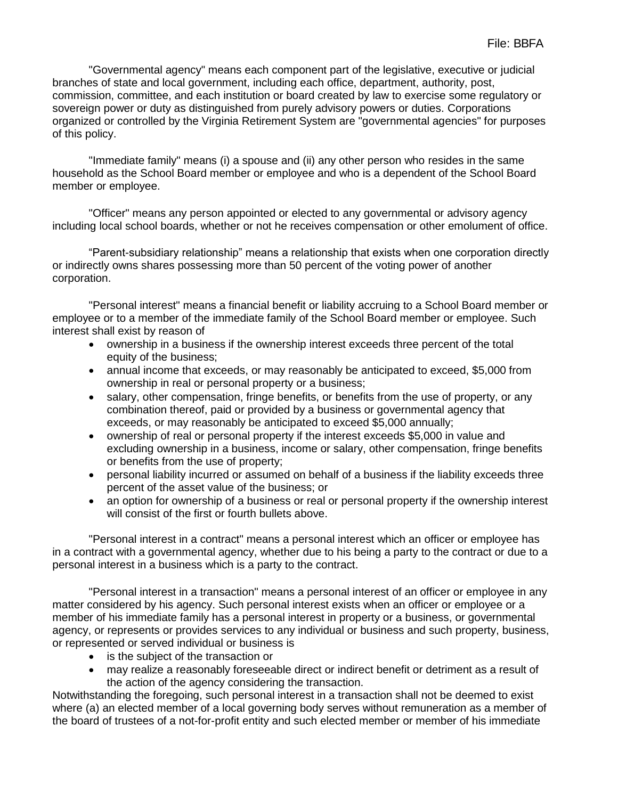"Governmental agency" means each component part of the legislative, executive or judicial branches of state and local government, including each office, department, authority, post, commission, committee, and each institution or board created by law to exercise some regulatory or sovereign power or duty as distinguished from purely advisory powers or duties. Corporations organized or controlled by the Virginia Retirement System are "governmental agencies" for purposes of this policy.

"Immediate family" means (i) a spouse and (ii) any other person who resides in the same household as the School Board member or employee and who is a dependent of the School Board member or employee.

"Officer" means any person appointed or elected to any governmental or advisory agency including local school boards, whether or not he receives compensation or other emolument of office.

"Parent-subsidiary relationship" means a relationship that exists when one corporation directly or indirectly owns shares possessing more than 50 percent of the voting power of another corporation.

"Personal interest" means a financial benefit or liability accruing to a School Board member or employee or to a member of the immediate family of the School Board member or employee. Such interest shall exist by reason of

- ownership in a business if the ownership interest exceeds three percent of the total equity of the business;
- annual income that exceeds, or may reasonably be anticipated to exceed, \$5,000 from ownership in real or personal property or a business;
- salary, other compensation, fringe benefits, or benefits from the use of property, or any combination thereof, paid or provided by a business or governmental agency that exceeds, or may reasonably be anticipated to exceed \$5,000 annually;
- ownership of real or personal property if the interest exceeds \$5,000 in value and excluding ownership in a business, income or salary, other compensation, fringe benefits or benefits from the use of property;
- personal liability incurred or assumed on behalf of a business if the liability exceeds three percent of the asset value of the business; or
- an option for ownership of a business or real or personal property if the ownership interest will consist of the first or fourth bullets above.

"Personal interest in a contract" means a personal interest which an officer or employee has in a contract with a governmental agency, whether due to his being a party to the contract or due to a personal interest in a business which is a party to the contract.

"Personal interest in a transaction" means a personal interest of an officer or employee in any matter considered by his agency. Such personal interest exists when an officer or employee or a member of his immediate family has a personal interest in property or a business, or governmental agency, or represents or provides services to any individual or business and such property, business, or represented or served individual or business is

- is the subject of the transaction or
- may realize a reasonably foreseeable direct or indirect benefit or detriment as a result of the action of the agency considering the transaction.

Notwithstanding the foregoing, such personal interest in a transaction shall not be deemed to exist where (a) an elected member of a local governing body serves without remuneration as a member of the board of trustees of a not-for-profit entity and such elected member or member of his immediate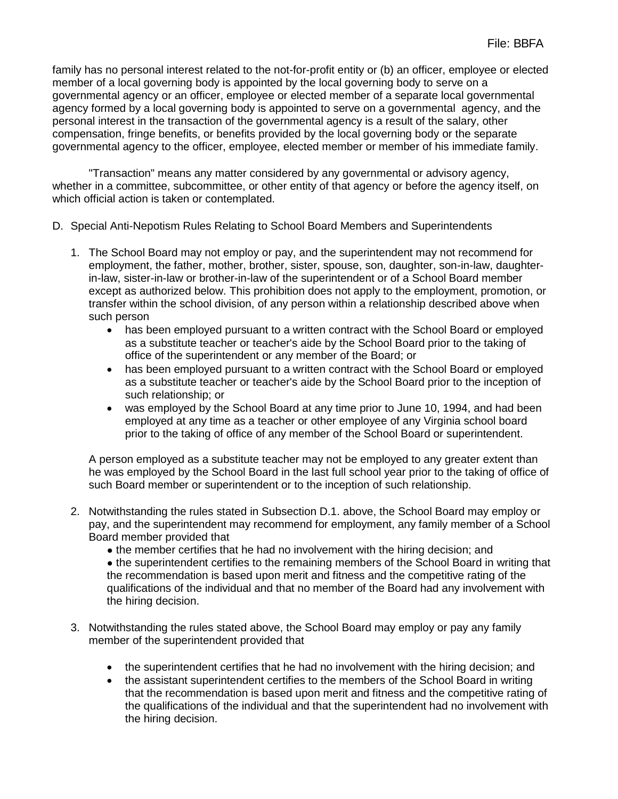family has no personal interest related to the not-for-profit entity or (b) an officer, employee or elected member of a local governing body is appointed by the local governing body to serve on a governmental agency or an officer, employee or elected member of a separate local governmental agency formed by a local governing body is appointed to serve on a governmental agency, and the personal interest in the transaction of the governmental agency is a result of the salary, other compensation, fringe benefits, or benefits provided by the local governing body or the separate governmental agency to the officer, employee, elected member or member of his immediate family.

"Transaction" means any matter considered by any governmental or advisory agency, whether in a committee, subcommittee, or other entity of that agency or before the agency itself, on which official action is taken or contemplated.

- D. Special Anti-Nepotism Rules Relating to School Board Members and Superintendents
	- 1. The School Board may not employ or pay, and the superintendent may not recommend for employment, the father, mother, brother, sister, spouse, son, daughter, son-in-law, daughterin-law, sister-in-law or brother-in-law of the superintendent or of a School Board member except as authorized below. This prohibition does not apply to the employment, promotion, or transfer within the school division, of any person within a relationship described above when such person
		- has been employed pursuant to a written contract with the School Board or employed as a substitute teacher or teacher's aide by the School Board prior to the taking of office of the superintendent or any member of the Board; or
		- has been employed pursuant to a written contract with the School Board or employed as a substitute teacher or teacher's aide by the School Board prior to the inception of such relationship; or
		- was employed by the School Board at any time prior to June 10, 1994, and had been employed at any time as a teacher or other employee of any Virginia school board prior to the taking of office of any member of the School Board or superintendent.

A person employed as a substitute teacher may not be employed to any greater extent than he was employed by the School Board in the last full school year prior to the taking of office of such Board member or superintendent or to the inception of such relationship.

- 2. Notwithstanding the rules stated in Subsection D.1. above, the School Board may employ or pay, and the superintendent may recommend for employment, any family member of a School Board member provided that
	- the member certifies that he had no involvement with the hiring decision; and

• the superintendent certifies to the remaining members of the School Board in writing that the recommendation is based upon merit and fitness and the competitive rating of the qualifications of the individual and that no member of the Board had any involvement with the hiring decision.

- 3. Notwithstanding the rules stated above, the School Board may employ or pay any family member of the superintendent provided that
	- the superintendent certifies that he had no involvement with the hiring decision; and
	- the assistant superintendent certifies to the members of the School Board in writing that the recommendation is based upon merit and fitness and the competitive rating of the qualifications of the individual and that the superintendent had no involvement with the hiring decision.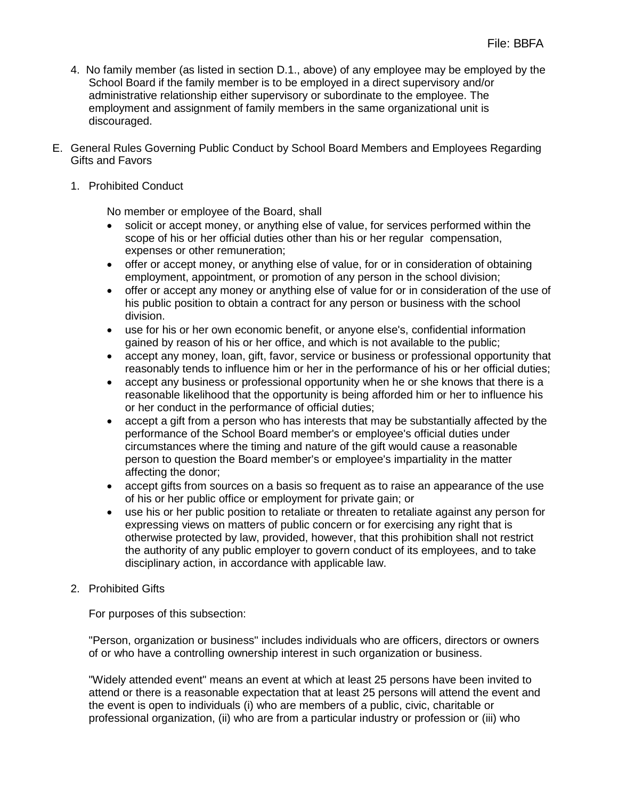- 4. No family member (as listed in section D.1., above) of any employee may be employed by the School Board if the family member is to be employed in a direct supervisory and/or administrative relationship either supervisory or subordinate to the employee. The employment and assignment of family members in the same organizational unit is discouraged.
- E. General Rules Governing Public Conduct by School Board Members and Employees Regarding Gifts and Favors

#### 1. Prohibited Conduct

No member or employee of the Board, shall

- solicit or accept money, or anything else of value, for services performed within the scope of his or her official duties other than his or her regular compensation, expenses or other remuneration;
- offer or accept money, or anything else of value, for or in consideration of obtaining employment, appointment, or promotion of any person in the school division;
- offer or accept any money or anything else of value for or in consideration of the use of his public position to obtain a contract for any person or business with the school division.
- use for his or her own economic benefit, or anyone else's, confidential information gained by reason of his or her office, and which is not available to the public;
- accept any money, loan, gift, favor, service or business or professional opportunity that reasonably tends to influence him or her in the performance of his or her official duties;
- accept any business or professional opportunity when he or she knows that there is a reasonable likelihood that the opportunity is being afforded him or her to influence his or her conduct in the performance of official duties;
- accept a gift from a person who has interests that may be substantially affected by the performance of the School Board member's or employee's official duties under circumstances where the timing and nature of the gift would cause a reasonable person to question the Board member's or employee's impartiality in the matter affecting the donor;
- accept gifts from sources on a basis so frequent as to raise an appearance of the use of his or her public office or employment for private gain; or
- use his or her public position to retaliate or threaten to retaliate against any person for expressing views on matters of public concern or for exercising any right that is otherwise protected by law, provided, however, that this prohibition shall not restrict the authority of any public employer to govern conduct of its employees, and to take disciplinary action, in accordance with applicable law.
- 2. Prohibited Gifts

For purposes of this subsection:

"Person, organization or business" includes individuals who are officers, directors or owners of or who have a controlling ownership interest in such organization or business.

"Widely attended event" means an event at which at least 25 persons have been invited to attend or there is a reasonable expectation that at least 25 persons will attend the event and the event is open to individuals (i) who are members of a public, civic, charitable or professional organization, (ii) who are from a particular industry or profession or (iii) who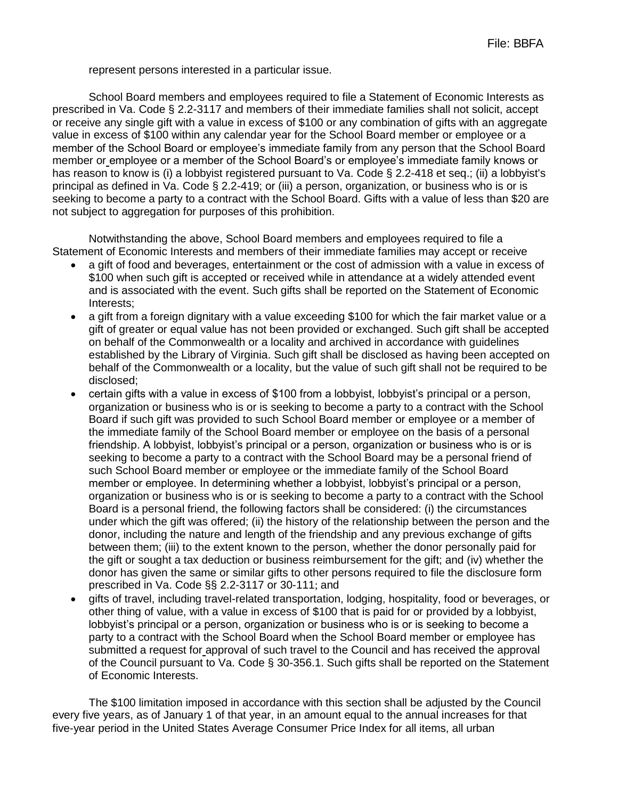represent persons interested in a particular issue.

School Board members and employees required to file a Statement of Economic Interests as prescribed in Va. Code § 2.2-3117 and members of their immediate families shall not solicit, accept or receive any single gift with a value in excess of \$100 or any combination of gifts with an aggregate value in excess of \$100 within any calendar year for the School Board member or employee or a member of the School Board or employee's immediate family from any person that the School Board member or employee or a member of the School Board's or employee's immediate family knows or has reason to know is (i) a lobbyist registered pursuant to Va. Code § 2.2-418 et seq.; (ii) a lobbyist's principal as defined in Va. Code § 2.2-419; or (iii) a person, organization, or business who is or is seeking to become a party to a contract with the School Board. Gifts with a value of less than \$20 are not subject to aggregation for purposes of this prohibition.

Notwithstanding the above, School Board members and employees required to file a Statement of Economic Interests and members of their immediate families may accept or receive

- a gift of food and beverages, entertainment or the cost of admission with a value in excess of \$100 when such gift is accepted or received while in attendance at a widely attended event and is associated with the event. Such gifts shall be reported on the Statement of Economic Interests;
- a gift from a foreign dignitary with a value exceeding \$100 for which the fair market value or a gift of greater or equal value has not been provided or exchanged. Such gift shall be accepted on behalf of the Commonwealth or a locality and archived in accordance with guidelines established by the Library of Virginia. Such gift shall be disclosed as having been accepted on behalf of the Commonwealth or a locality, but the value of such gift shall not be required to be disclosed;
- certain gifts with a value in excess of \$100 from a lobbyist, lobbyist's principal or a person, organization or business who is or is seeking to become a party to a contract with the School Board if such gift was provided to such School Board member or employee or a member of the immediate family of the School Board member or employee on the basis of a personal friendship. A lobbyist, lobbyist's principal or a person, organization or business who is or is seeking to become a party to a contract with the School Board may be a personal friend of such School Board member or employee or the immediate family of the School Board member or employee. In determining whether a lobbyist, lobbyist's principal or a person, organization or business who is or is seeking to become a party to a contract with the School Board is a personal friend, the following factors shall be considered: (i) the circumstances under which the gift was offered; (ii) the history of the relationship between the person and the donor, including the nature and length of the friendship and any previous exchange of gifts between them; (iii) to the extent known to the person, whether the donor personally paid for the gift or sought a tax deduction or business reimbursement for the gift; and (iv) whether the donor has given the same or similar gifts to other persons required to file the disclosure form prescribed in Va. Code §§ 2.2-3117 or 30-111; and
- gifts of travel, including travel-related transportation, lodging, hospitality, food or beverages, or other thing of value, with a value in excess of \$100 that is paid for or provided by a lobbyist, lobbyist's principal or a person, organization or business who is or is seeking to become a party to a contract with the School Board when the School Board member or employee has submitted a request for approval of such travel to the Council and has received the approval of the Council pursuant to Va. Code § 30-356.1. Such gifts shall be reported on the Statement of Economic Interests.

The \$100 limitation imposed in accordance with this section shall be adjusted by the Council every five years, as of January 1 of that year, in an amount equal to the annual increases for that five-year period in the United States Average Consumer Price Index for all items, all urban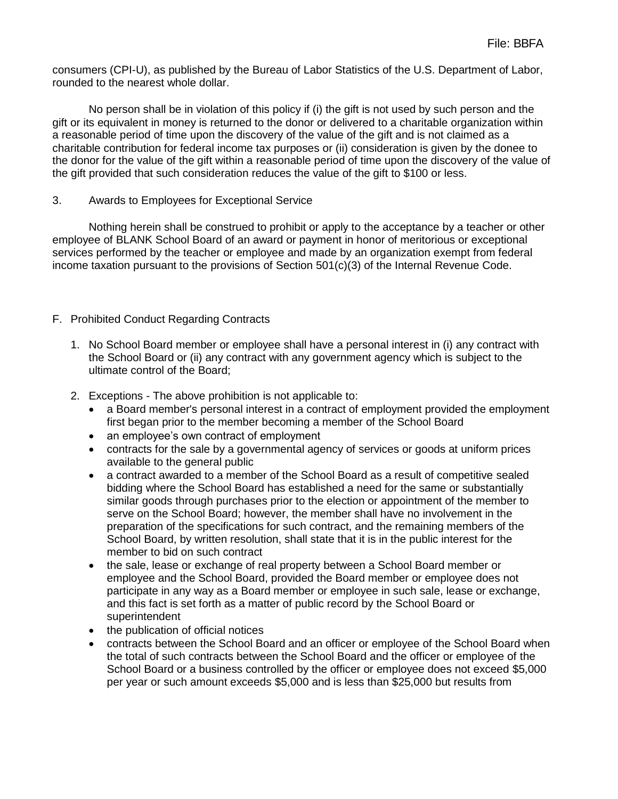consumers (CPI-U), as published by the Bureau of Labor Statistics of the U.S. Department of Labor, rounded to the nearest whole dollar.

No person shall be in violation of this policy if (i) the gift is not used by such person and the gift or its equivalent in money is returned to the donor or delivered to a charitable organization within a reasonable period of time upon the discovery of the value of the gift and is not claimed as a charitable contribution for federal income tax purposes or (ii) consideration is given by the donee to the donor for the value of the gift within a reasonable period of time upon the discovery of the value of the gift provided that such consideration reduces the value of the gift to \$100 or less.

#### 3. Awards to Employees for Exceptional Service

Nothing herein shall be construed to prohibit or apply to the acceptance by a teacher or other employee of BLANK School Board of an award or payment in honor of meritorious or exceptional services performed by the teacher or employee and made by an organization exempt from federal income taxation pursuant to the provisions of Section 501(c)(3) of the Internal Revenue Code.

#### F. Prohibited Conduct Regarding Contracts

- 1. No School Board member or employee shall have a personal interest in (i) any contract with the School Board or (ii) any contract with any government agency which is subject to the ultimate control of the Board;
- 2. Exceptions The above prohibition is not applicable to:
	- a Board member's personal interest in a contract of employment provided the employment first began prior to the member becoming a member of the School Board
	- an employee's own contract of employment
	- contracts for the sale by a governmental agency of services or goods at uniform prices available to the general public
	- a contract awarded to a member of the School Board as a result of competitive sealed bidding where the School Board has established a need for the same or substantially similar goods through purchases prior to the election or appointment of the member to serve on the School Board; however, the member shall have no involvement in the preparation of the specifications for such contract, and the remaining members of the School Board, by written resolution, shall state that it is in the public interest for the member to bid on such contract
	- the sale, lease or exchange of real property between a School Board member or employee and the School Board, provided the Board member or employee does not participate in any way as a Board member or employee in such sale, lease or exchange, and this fact is set forth as a matter of public record by the School Board or superintendent
	- the publication of official notices
	- contracts between the School Board and an officer or employee of the School Board when the total of such contracts between the School Board and the officer or employee of the School Board or a business controlled by the officer or employee does not exceed \$5,000 per year or such amount exceeds \$5,000 and is less than \$25,000 but results from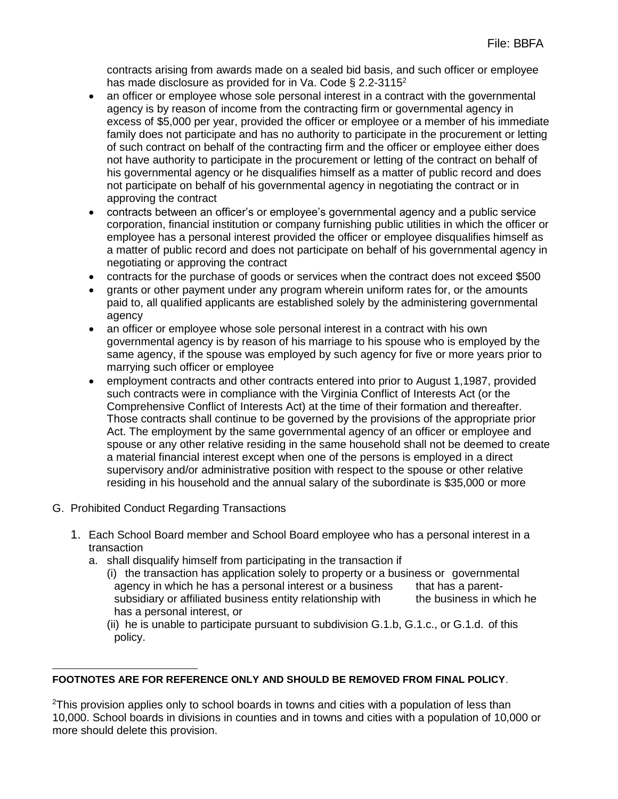contracts arising from awards made on a sealed bid basis, and such officer or employee has made disclosure as provided for in Va. Code § 2.2-3115<sup>2</sup>

- an officer or employee whose sole personal interest in a contract with the governmental agency is by reason of income from the contracting firm or governmental agency in excess of \$5,000 per year, provided the officer or employee or a member of his immediate family does not participate and has no authority to participate in the procurement or letting of such contract on behalf of the contracting firm and the officer or employee either does not have authority to participate in the procurement or letting of the contract on behalf of his governmental agency or he disqualifies himself as a matter of public record and does not participate on behalf of his governmental agency in negotiating the contract or in approving the contract
- contracts between an officer's or employee's governmental agency and a public service corporation, financial institution or company furnishing public utilities in which the officer or employee has a personal interest provided the officer or employee disqualifies himself as a matter of public record and does not participate on behalf of his governmental agency in negotiating or approving the contract
- contracts for the purchase of goods or services when the contract does not exceed \$500
- grants or other payment under any program wherein uniform rates for, or the amounts paid to, all qualified applicants are established solely by the administering governmental agency
- an officer or employee whose sole personal interest in a contract with his own governmental agency is by reason of his marriage to his spouse who is employed by the same agency, if the spouse was employed by such agency for five or more years prior to marrying such officer or employee
- employment contracts and other contracts entered into prior to August 1,1987, provided such contracts were in compliance with the Virginia Conflict of Interests Act (or the Comprehensive Conflict of Interests Act) at the time of their formation and thereafter. Those contracts shall continue to be governed by the provisions of the appropriate prior Act. The employment by the same governmental agency of an officer or employee and spouse or any other relative residing in the same household shall not be deemed to create a material financial interest except when one of the persons is employed in a direct supervisory and/or administrative position with respect to the spouse or other relative residing in his household and the annual salary of the subordinate is \$35,000 or more
- G. Prohibited Conduct Regarding Transactions
	- 1. Each School Board member and School Board employee who has a personal interest in a transaction
		- a. shall disqualify himself from participating in the transaction if
			- (i) the transaction has application solely to property or a business or governmental agency in which he has a personal interest or a business that has a parentsubsidiary or affiliated business entity relationship with the business in which he has a personal interest, or
			- (ii) he is unable to participate pursuant to subdivision G.1.b, G.1.c., or G.1.d. of this policy.

#### **FOOTNOTES ARE FOR REFERENCE ONLY AND SHOULD BE REMOVED FROM FINAL POLICY**.

 $2$ This provision applies only to school boards in towns and cities with a population of less than 10,000. School boards in divisions in counties and in towns and cities with a population of 10,000 or more should delete this provision.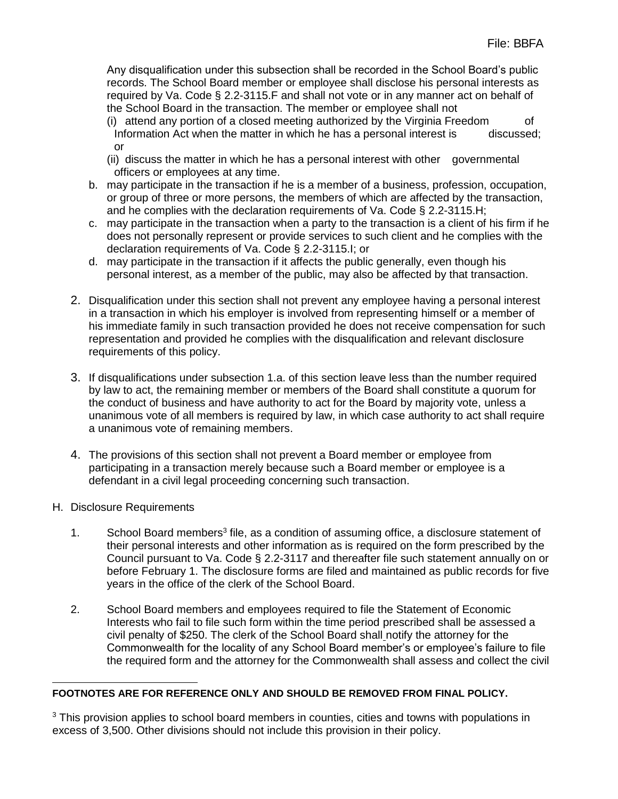Any disqualification under this subsection shall be recorded in the School Board's public records. The School Board member or employee shall disclose his personal interests as required by Va. Code § 2.2-3115.F and shall not vote or in any manner act on behalf of the School Board in the transaction. The member or employee shall not

- (i) attend any portion of a closed meeting authorized by the Virginia Freedom of Information Act when the matter in which he has a personal interest is discussed; or
- (ii) discuss the matter in which he has a personal interest with other governmental officers or employees at any time.
- b. may participate in the transaction if he is a member of a business, profession, occupation, or group of three or more persons, the members of which are affected by the transaction, and he complies with the declaration requirements of Va. Code § 2.2-3115.H;
- c. may participate in the transaction when a party to the transaction is a client of his firm if he does not personally represent or provide services to such client and he complies with the declaration requirements of Va. Code § 2.2-3115.I; or
- d. may participate in the transaction if it affects the public generally, even though his personal interest, as a member of the public, may also be affected by that transaction.
- 2. Disqualification under this section shall not prevent any employee having a personal interest in a transaction in which his employer is involved from representing himself or a member of his immediate family in such transaction provided he does not receive compensation for such representation and provided he complies with the disqualification and relevant disclosure requirements of this policy.
- 3. If disqualifications under subsection 1.a. of this section leave less than the number required by law to act, the remaining member or members of the Board shall constitute a quorum for the conduct of business and have authority to act for the Board by majority vote, unless a unanimous vote of all members is required by law, in which case authority to act shall require a unanimous vote of remaining members.
- 4. The provisions of this section shall not prevent a Board member or employee from participating in a transaction merely because such a Board member or employee is a defendant in a civil legal proceeding concerning such transaction.
- H. Disclosure Requirements
	- 1. School Board members<sup>3</sup> file, as a condition of assuming office, a disclosure statement of their personal interests and other information as is required on the form prescribed by the Council pursuant to Va. Code § 2.2-3117 and thereafter file such statement annually on or before February 1. The disclosure forms are filed and maintained as public records for five years in the office of the clerk of the School Board.
	- 2. School Board members and employees required to file the Statement of Economic Interests who fail to file such form within the time period prescribed shall be assessed a civil penalty of \$250. The clerk of the School Board shall notify the attorney for the Commonwealth for the locality of any School Board member's or employee's failure to file the required form and the attorney for the Commonwealth shall assess and collect the civil

#### $\overline{a}$ **FOOTNOTES ARE FOR REFERENCE ONLY AND SHOULD BE REMOVED FROM FINAL POLICY.**

 $3$  This provision applies to school board members in counties, cities and towns with populations in excess of 3,500. Other divisions should not include this provision in their policy.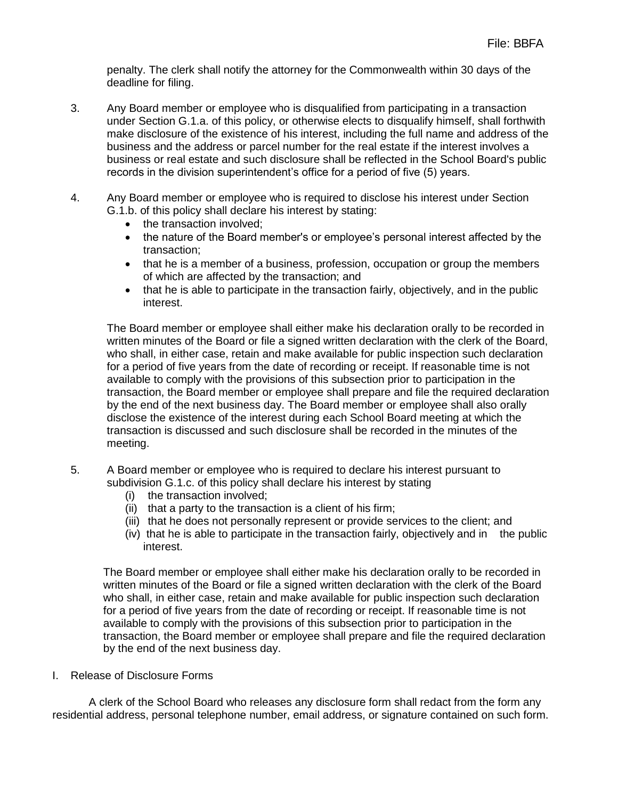penalty. The clerk shall notify the attorney for the Commonwealth within 30 days of the deadline for filing.

- 3. Any Board member or employee who is disqualified from participating in a transaction under Section G.1.a. of this policy, or otherwise elects to disqualify himself, shall forthwith make disclosure of the existence of his interest, including the full name and address of the business and the address or parcel number for the real estate if the interest involves a business or real estate and such disclosure shall be reflected in the School Board's public records in the division superintendent's office for a period of five (5) years.
- 4. Any Board member or employee who is required to disclose his interest under Section G.1.b. of this policy shall declare his interest by stating:
	- the transaction involved:
	- the nature of the Board member's or employee's personal interest affected by the transaction;
	- that he is a member of a business, profession, occupation or group the members of which are affected by the transaction; and
	- that he is able to participate in the transaction fairly, objectively, and in the public interest.

The Board member or employee shall either make his declaration orally to be recorded in written minutes of the Board or file a signed written declaration with the clerk of the Board, who shall, in either case, retain and make available for public inspection such declaration for a period of five years from the date of recording or receipt. If reasonable time is not available to comply with the provisions of this subsection prior to participation in the transaction, the Board member or employee shall prepare and file the required declaration by the end of the next business day. The Board member or employee shall also orally disclose the existence of the interest during each School Board meeting at which the transaction is discussed and such disclosure shall be recorded in the minutes of the meeting.

- 5. A Board member or employee who is required to declare his interest pursuant to subdivision G.1.c. of this policy shall declare his interest by stating
	- (i) the transaction involved;
	- (ii) that a party to the transaction is a client of his firm;
	- (iii) that he does not personally represent or provide services to the client; and
	- (iv) that he is able to participate in the transaction fairly, objectively and in the public interest.

The Board member or employee shall either make his declaration orally to be recorded in written minutes of the Board or file a signed written declaration with the clerk of the Board who shall, in either case, retain and make available for public inspection such declaration for a period of five years from the date of recording or receipt. If reasonable time is not available to comply with the provisions of this subsection prior to participation in the transaction, the Board member or employee shall prepare and file the required declaration by the end of the next business day.

I. Release of Disclosure Forms

A clerk of the School Board who releases any disclosure form shall redact from the form any residential address, personal telephone number, email address, or signature contained on such form.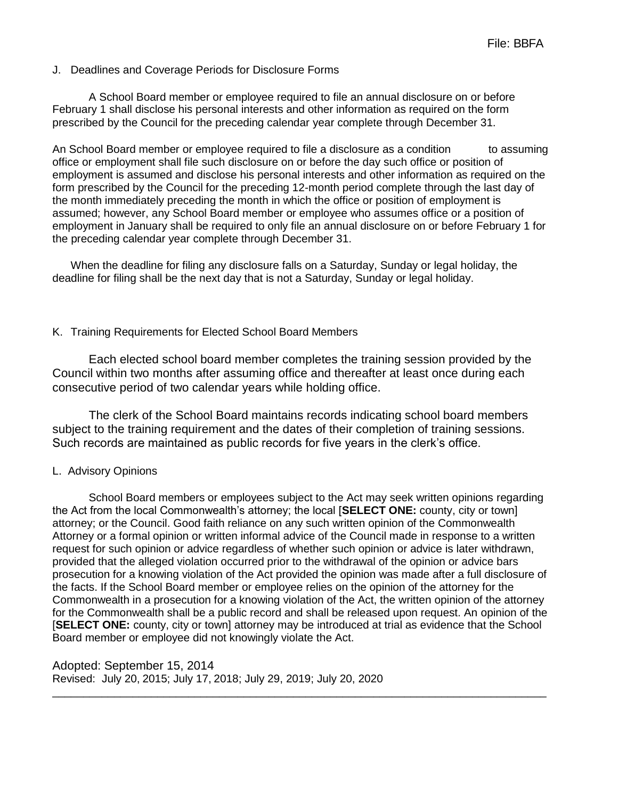#### J. Deadlines and Coverage Periods for Disclosure Forms

A School Board member or employee required to file an annual disclosure on or before February 1 shall disclose his personal interests and other information as required on the form prescribed by the Council for the preceding calendar year complete through December 31.

An School Board member or employee required to file a disclosure as a condition to assuming office or employment shall file such disclosure on or before the day such office or position of employment is assumed and disclose his personal interests and other information as required on the form prescribed by the Council for the preceding 12-month period complete through the last day of the month immediately preceding the month in which the office or position of employment is assumed; however, any School Board member or employee who assumes office or a position of employment in January shall be required to only file an annual disclosure on or before February 1 for the preceding calendar year complete through December 31.

When the deadline for filing any disclosure falls on a Saturday, Sunday or legal holiday, the deadline for filing shall be the next day that is not a Saturday, Sunday or legal holiday.

#### K. Training Requirements for Elected School Board Members

Each elected school board member completes the training session provided by the Council within two months after assuming office and thereafter at least once during each consecutive period of two calendar years while holding office.

The clerk of the School Board maintains records indicating school board members subject to the training requirement and the dates of their completion of training sessions. Such records are maintained as public records for five years in the clerk's office.

#### L. Advisory Opinions

School Board members or employees subject to the Act may seek written opinions regarding the Act from the local Commonwealth's attorney; the local [**SELECT ONE:** county, city or town] attorney; or the Council. Good faith reliance on any such written opinion of the Commonwealth Attorney or a formal opinion or written informal advice of the Council made in response to a written request for such opinion or advice regardless of whether such opinion or advice is later withdrawn, provided that the alleged violation occurred prior to the withdrawal of the opinion or advice bars prosecution for a knowing violation of the Act provided the opinion was made after a full disclosure of the facts. If the School Board member or employee relies on the opinion of the attorney for the Commonwealth in a prosecution for a knowing violation of the Act, the written opinion of the attorney for the Commonwealth shall be a public record and shall be released upon request. An opinion of the [**SELECT ONE:** county, city or town] attorney may be introduced at trial as evidence that the School Board member or employee did not knowingly violate the Act.

\_\_\_\_\_\_\_\_\_\_\_\_\_\_\_\_\_\_\_\_\_\_\_\_\_\_\_\_\_\_\_\_\_\_\_\_\_\_\_\_\_\_\_\_\_\_\_\_\_\_\_\_\_\_\_\_\_\_\_\_\_\_\_\_\_\_\_\_\_\_\_\_\_\_\_\_\_\_\_\_

Adopted: September 15, 2014 Revised: July 20, 2015; July 17, 2018; July 29, 2019; July 20, 2020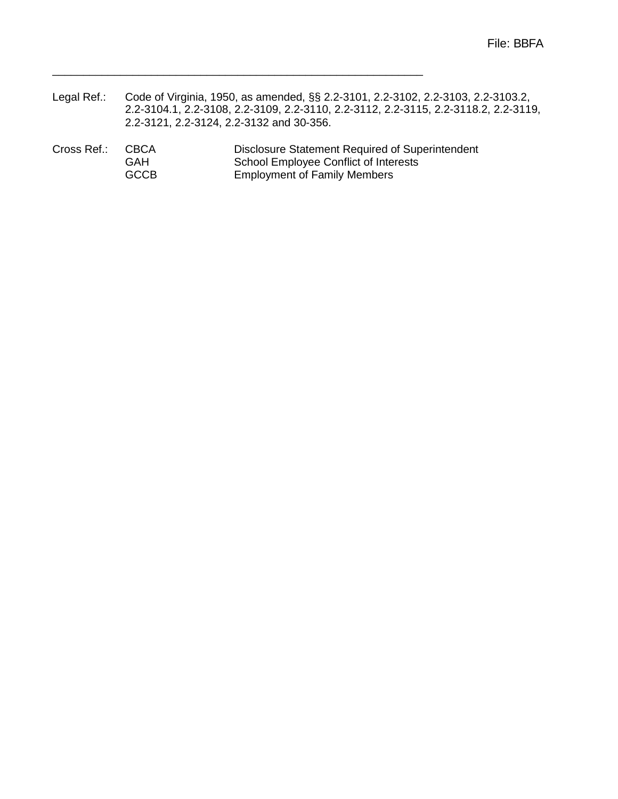- Legal Ref.: Code of Virginia, 1950, as amended, §§ 2.2-3101, 2.2-3102, 2.2-3103, 2.2-3103.2, 2.2-3104.1, 2.2-3108, 2.2-3109, 2.2-3110, 2.2-3112, 2.2-3115, 2.2-3118.2, 2.2-3119, 2.2-3121, 2.2-3124, 2.2-3132 and 30-356.
- Cross Ref.: CBCA Disclosure Statement Required of Superintendent<br>
GAH School Employee Conflict of Interests School Employee Conflict of Interests GCCB Employment of Family Members

\_\_\_\_\_\_\_\_\_\_\_\_\_\_\_\_\_\_\_\_\_\_\_\_\_\_\_\_\_\_\_\_\_\_\_\_\_\_\_\_\_\_\_\_\_\_\_\_\_\_\_\_\_\_\_\_\_\_\_\_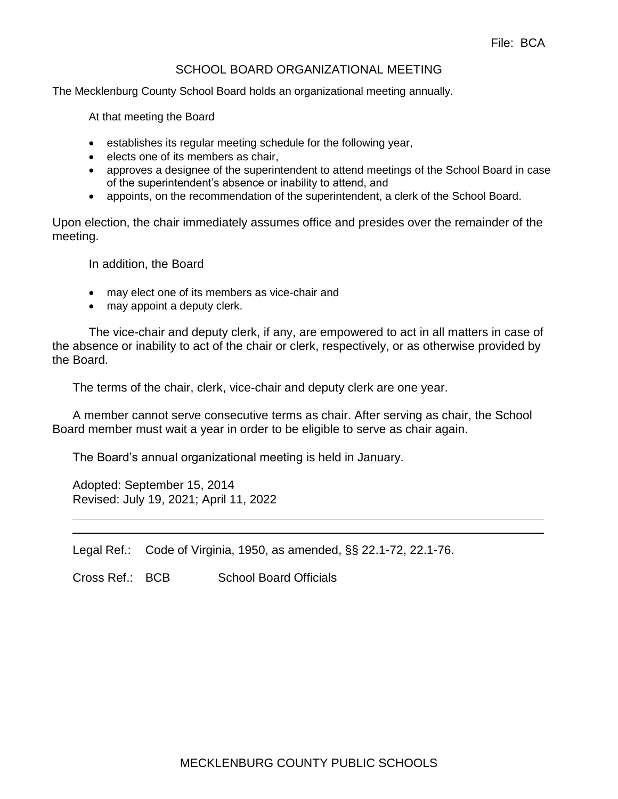#### SCHOOL BOARD ORGANIZATIONAL MEETING

The Mecklenburg County School Board holds an organizational meeting annually.

At that meeting the Board

- establishes its regular meeting schedule for the following year,
- elects one of its members as chair,
- approves a designee of the superintendent to attend meetings of the School Board in case of the superintendent's absence or inability to attend, and
- appoints, on the recommendation of the superintendent, a clerk of the School Board.

Upon election, the chair immediately assumes office and presides over the remainder of the meeting.

In addition, the Board

- may elect one of its members as vice-chair and
- may appoint a deputy clerk.

The vice-chair and deputy clerk, if any, are empowered to act in all matters in case of the absence or inability to act of the chair or clerk, respectively, or as otherwise provided by the Board.

The terms of the chair, clerk, vice-chair and deputy clerk are one year.

A member cannot serve consecutive terms as chair. After serving as chair, the School Board member must wait a year in order to be eligible to serve as chair again.

The Board's annual organizational meeting is held in January.

Adopted: September 15, 2014 Revised: July 19, 2021; April 11, 2022

Legal Ref.: Code of Virginia, 1950, as amended, §§ 22.1-72, 22.1-76.

Cross Ref.: BCB School Board Officials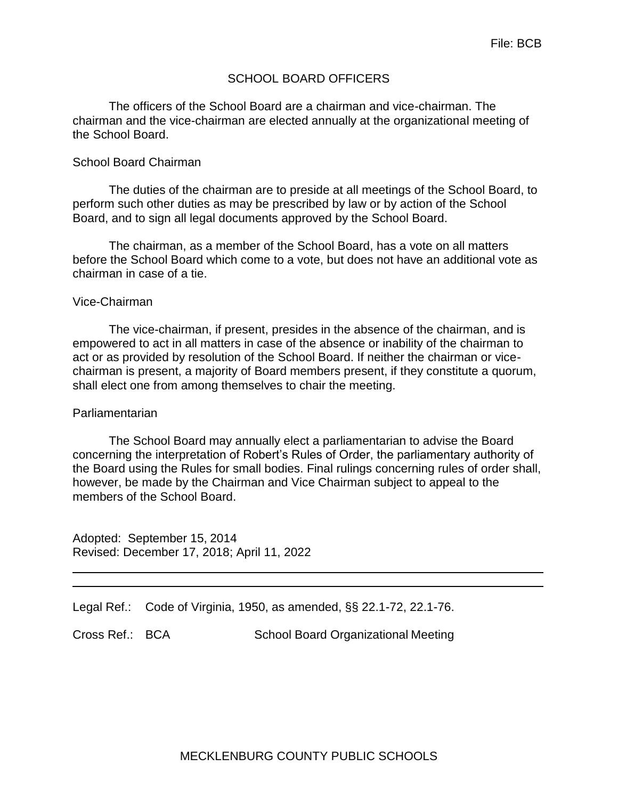## SCHOOL BOARD OFFICERS

The officers of the School Board are a chairman and vice-chairman. The chairman and the vice-chairman are elected annually at the organizational meeting of the School Board.

#### School Board Chairman

The duties of the chairman are to preside at all meetings of the School Board, to perform such other duties as may be prescribed by law or by action of the School Board, and to sign all legal documents approved by the School Board.

The chairman, as a member of the School Board, has a vote on all matters before the School Board which come to a vote, but does not have an additional vote as chairman in case of a tie.

#### Vice-Chairman

The vice-chairman, if present, presides in the absence of the chairman, and is empowered to act in all matters in case of the absence or inability of the chairman to act or as provided by resolution of the School Board. If neither the chairman or vicechairman is present, a majority of Board members present, if they constitute a quorum, shall elect one from among themselves to chair the meeting.

#### Parliamentarian

The School Board may annually elect a parliamentarian to advise the Board concerning the interpretation of Robert's Rules of Order, the parliamentary authority of the Board using the Rules for small bodies. Final rulings concerning rules of order shall, however, be made by the Chairman and Vice Chairman subject to appeal to the members of the School Board.

Adopted: September 15, 2014 Revised: December 17, 2018; April 11, 2022

Legal Ref.: Code of Virginia, 1950, as amended, §§ 22.1-72, 22.1-76.

Cross Ref.: BCA School Board Organizational Meeting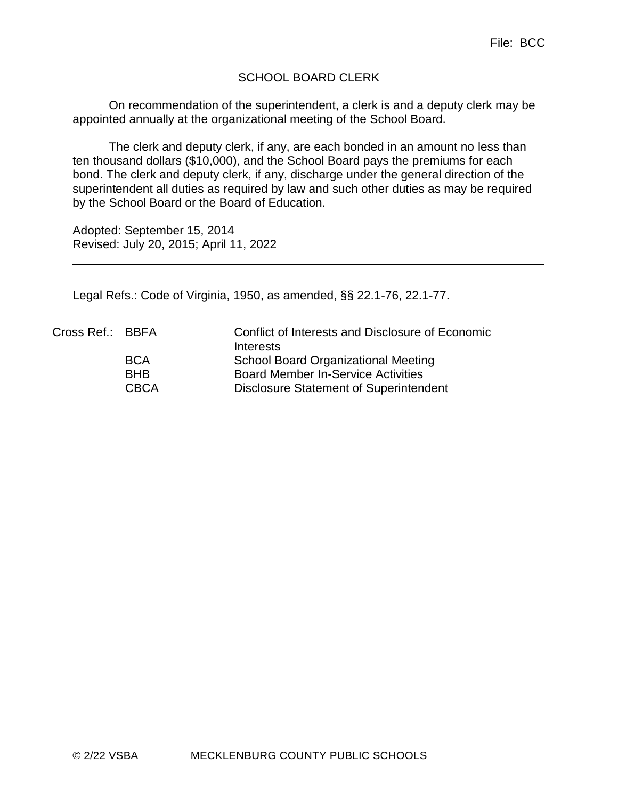# SCHOOL BOARD CLERK

On recommendation of the superintendent, a clerk is and a deputy clerk may be appointed annually at the organizational meeting of the School Board.

The clerk and deputy clerk, if any, are each bonded in an amount no less than ten thousand dollars (\$10,000), and the School Board pays the premiums for each bond. The clerk and deputy clerk, if any, discharge under the general direction of the superintendent all duties as required by law and such other duties as may be required by the School Board or the Board of Education.

Adopted: September 15, 2014 Revised: July 20, 2015; April 11, 2022

Legal Refs.: Code of Virginia, 1950, as amended, §§ 22.1-76, 22.1-77.

| Cross Ref.: BBFA | Conflict of Interests and Disclosure of Economic |
|------------------|--------------------------------------------------|
|                  | Interests                                        |
|                  | <b>School Board Organizational Meeting</b>       |
| <b>BHB</b>       | <b>Board Member In-Service Activities</b>        |
| <b>CBCA</b>      | Disclosure Statement of Superintendent           |
|                  | <b>BCA</b>                                       |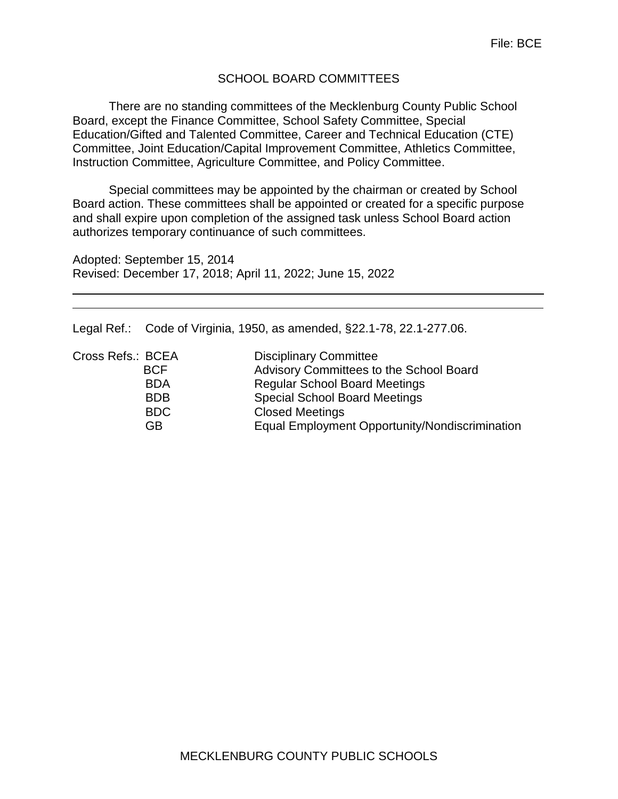## SCHOOL BOARD COMMITTEES

There are no standing committees of the Mecklenburg County Public School Board, except the Finance Committee, School Safety Committee, Special Education/Gifted and Talented Committee, Career and Technical Education (CTE) Committee, Joint Education/Capital Improvement Committee, Athletics Committee, Instruction Committee, Agriculture Committee, and Policy Committee.

Special committees may be appointed by the chairman or created by School Board action. These committees shall be appointed or created for a specific purpose and shall expire upon completion of the assigned task unless School Board action authorizes temporary continuance of such committees.

Adopted: September 15, 2014 Revised: December 17, 2018; April 11, 2022; June 15, 2022

Legal Ref.: Code of Virginia, 1950, as amended, §22.1-78, 22.1-277.06.

| Cross Refs.: BCEA | <b>Disciplinary Committee</b>                  |
|-------------------|------------------------------------------------|
| <b>BCF</b>        | Advisory Committees to the School Board        |
| <b>BDA</b>        | <b>Regular School Board Meetings</b>           |
| <b>BDB</b>        | <b>Special School Board Meetings</b>           |
| <b>BDC</b>        | <b>Closed Meetings</b>                         |
| GB.               | Equal Employment Opportunity/Nondiscrimination |
|                   |                                                |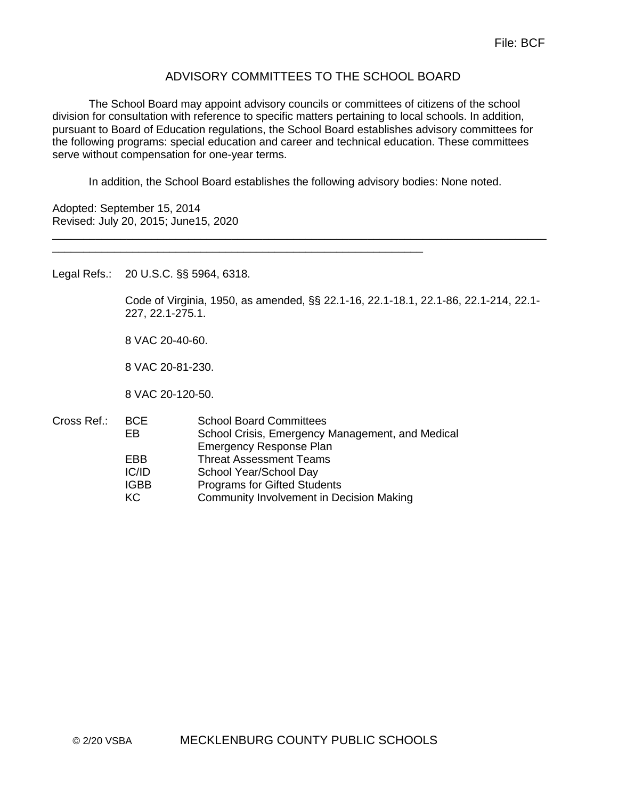## ADVISORY COMMITTEES TO THE SCHOOL BOARD

The School Board may appoint advisory councils or committees of citizens of the school division for consultation with reference to specific matters pertaining to local schools. In addition, pursuant to Board of Education regulations, the School Board establishes advisory committees for the following programs: special education and career and technical education. These committees serve without compensation for one-year terms.

In addition, the School Board establishes the following advisory bodies: None noted.

\_\_\_\_\_\_\_\_\_\_\_\_\_\_\_\_\_\_\_\_\_\_\_\_\_\_\_\_\_\_\_\_\_\_\_\_\_\_\_\_\_\_\_\_\_\_\_\_\_\_\_\_\_\_\_\_\_\_\_\_\_\_\_\_\_\_\_\_\_\_\_\_\_\_\_\_\_\_\_\_

Adopted: September 15, 2014 Revised: July 20, 2015; June15, 2020

Legal Refs.: 20 U.S.C. §§ 5964, 6318.

Code of Virginia, 1950, as amended, §§ 22.1-16, 22.1-18.1, 22.1-86, 22.1-214, 22.1- 227, 22.1-275.1.

8 VAC 20-40-60.

8 VAC 20-81-230.

8 VAC 20-120-50.

Cross Ref.: BCE School Board Committees EB School Crisis, Emergency Management, and Medical Emergency Response Plan EBB Threat Assessment Teams IC/ID School Year/School Day IGBB Programs for Gifted Students KC Community Involvement in Decision Making

\_\_\_\_\_\_\_\_\_\_\_\_\_\_\_\_\_\_\_\_\_\_\_\_\_\_\_\_\_\_\_\_\_\_\_\_\_\_\_\_\_\_\_\_\_\_\_\_\_\_\_\_\_\_\_\_\_\_\_\_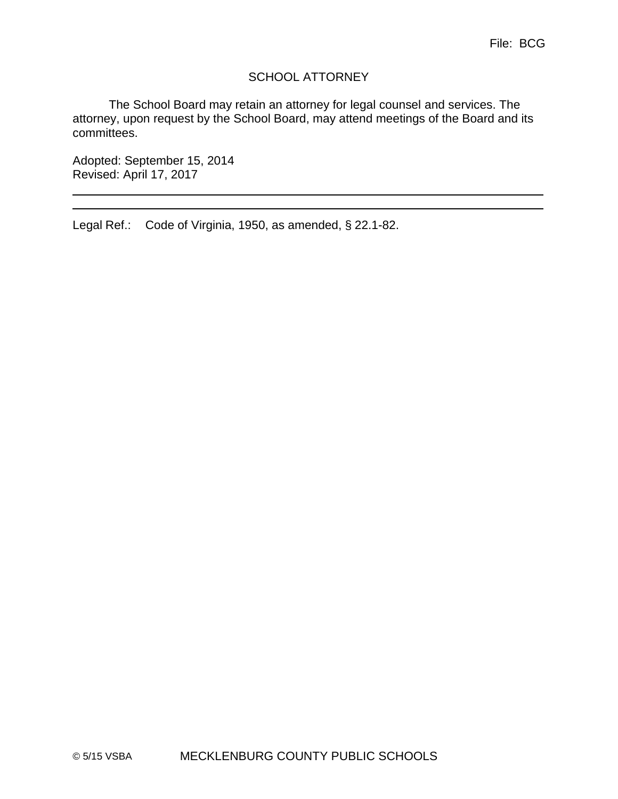# SCHOOL ATTORNEY

The School Board may retain an attorney for legal counsel and services. The attorney, upon request by the School Board, may attend meetings of the Board and its committees.

Adopted: September 15, 2014 Revised: April 17, 2017

Legal Ref.: Code of Virginia, 1950, as amended, § 22.1-82.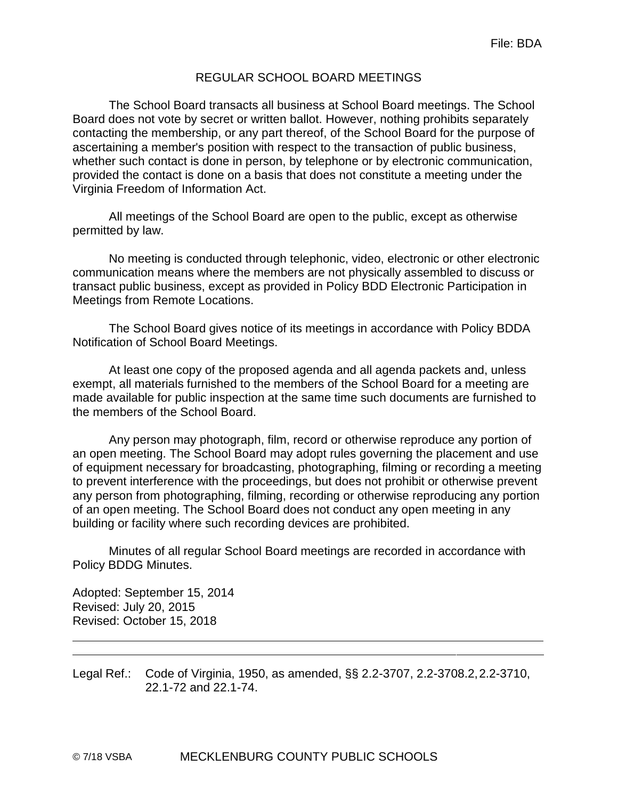## REGULAR SCHOOL BOARD MEETINGS

The School Board transacts all business at School Board meetings. The School Board does not vote by secret or written ballot. However, nothing prohibits separately contacting the membership, or any part thereof, of the School Board for the purpose of ascertaining a member's position with respect to the transaction of public business, whether such contact is done in person, by telephone or by electronic communication, provided the contact is done on a basis that does not constitute a meeting under the Virginia Freedom of Information Act.

All meetings of the School Board are open to the public, except as otherwise permitted by law.

No meeting is conducted through telephonic, video, electronic or other electronic communication means where the members are not physically assembled to discuss or transact public business, except as provided in Policy BDD Electronic Participation in Meetings from Remote Locations.

The School Board gives notice of its meetings in accordance with Policy BDDA Notification of School Board Meetings.

At least one copy of the proposed agenda and all agenda packets and, unless exempt, all materials furnished to the members of the School Board for a meeting are made available for public inspection at the same time such documents are furnished to the members of the School Board.

Any person may photograph, film, record or otherwise reproduce any portion of an open meeting. The School Board may adopt rules governing the placement and use of equipment necessary for broadcasting, photographing, filming or recording a meeting to prevent interference with the proceedings, but does not prohibit or otherwise prevent any person from photographing, filming, recording or otherwise reproducing any portion of an open meeting. The School Board does not conduct any open meeting in any building or facility where such recording devices are prohibited.

Minutes of all regular School Board meetings are recorded in accordance with Policy BDDG Minutes.

Adopted: September 15, 2014 Revised: July 20, 2015 Revised: October 15, 2018

Legal Ref.: Code of Virginia, 1950, as amended, §§ 2.2-3707, 2.2-3708.2,2.2-3710, 22.1-72 and 22.1-74.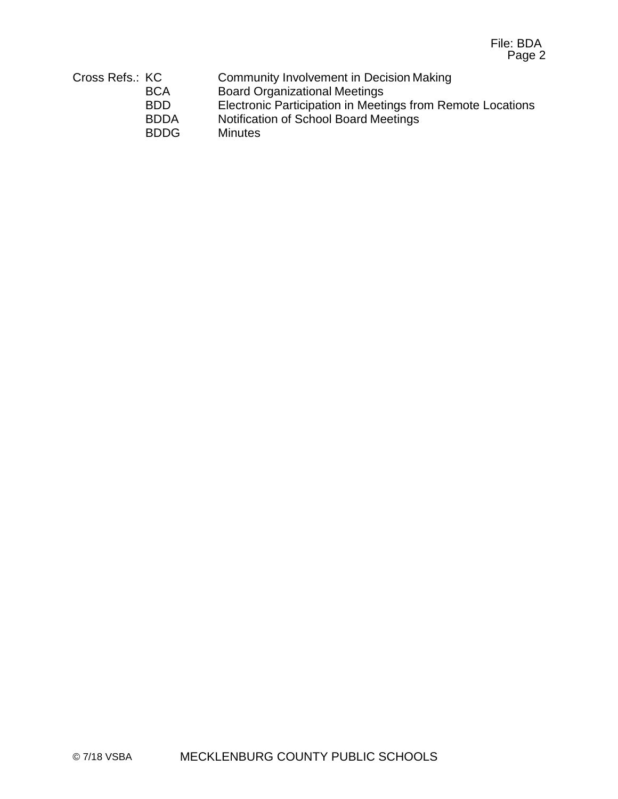| Cross Refs.: KC | Community Involvement in Decision Making                   |
|-----------------|------------------------------------------------------------|
| <b>BCA</b>      | <b>Board Organizational Meetings</b>                       |
| <b>BDD</b>      | Electronic Participation in Meetings from Remote Locations |
| <b>BDDA</b>     | Notification of School Board Meetings                      |
| <b>BDDG</b>     | <b>Minutes</b>                                             |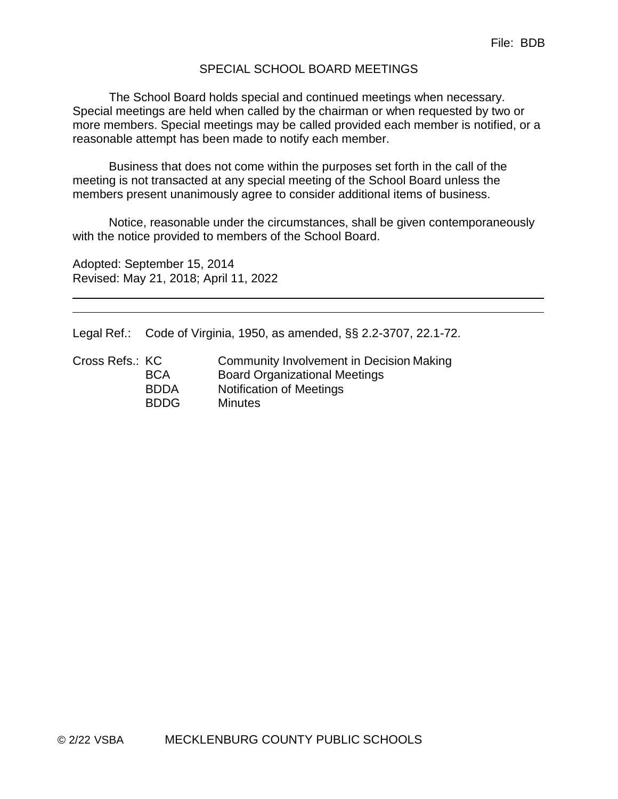#### SPECIAL SCHOOL BOARD MEETINGS

The School Board holds special and continued meetings when necessary. Special meetings are held when called by the chairman or when requested by two or more members. Special meetings may be called provided each member is notified, or a reasonable attempt has been made to notify each member.

Business that does not come within the purposes set forth in the call of the meeting is not transacted at any special meeting of the School Board unless the members present unanimously agree to consider additional items of business.

Notice, reasonable under the circumstances, shall be given contemporaneously with the notice provided to members of the School Board.

Adopted: September 15, 2014 Revised: May 21, 2018; April 11, 2022

Legal Ref.: Code of Virginia, 1950, as amended, §§ 2.2-3707, 22.1-72.

| Cross Refs.: KC | Community Involvement in Decision Making |
|-----------------|------------------------------------------|
| <b>BCA</b>      | <b>Board Organizational Meetings</b>     |
| <b>BDDA</b>     | <b>Notification of Meetings</b>          |
| <b>BDDG</b>     | <b>Minutes</b>                           |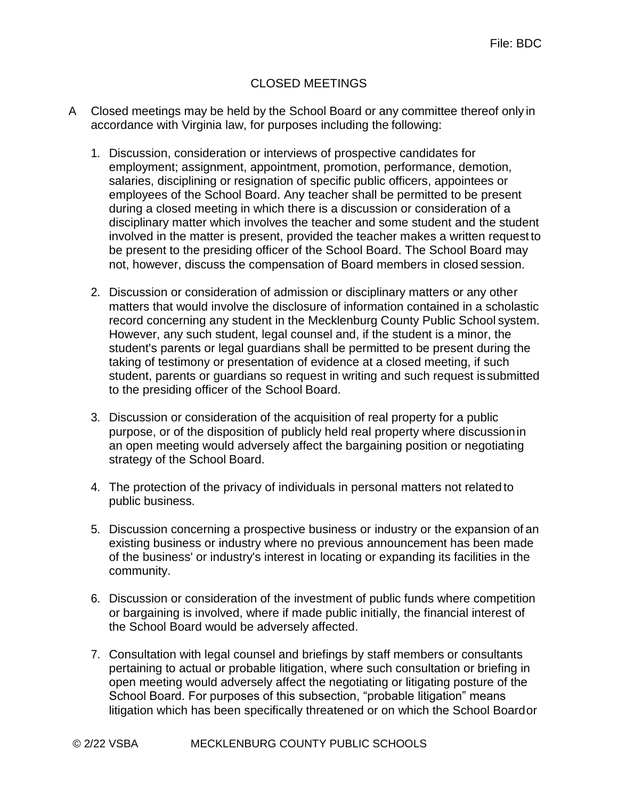# CLOSED MEETINGS

- A Closed meetings may be held by the School Board or any committee thereof only in accordance with Virginia law, for purposes including the following:
	- 1. Discussion, consideration or interviews of prospective candidates for employment; assignment, appointment, promotion, performance, demotion, salaries, disciplining or resignation of specific public officers, appointees or employees of the School Board. Any teacher shall be permitted to be present during a closed meeting in which there is a discussion or consideration of a disciplinary matter which involves the teacher and some student and the student involved in the matter is present, provided the teacher makes a written request to be present to the presiding officer of the School Board. The School Board may not, however, discuss the compensation of Board members in closed session.
	- 2. Discussion or consideration of admission or disciplinary matters or any other matters that would involve the disclosure of information contained in a scholastic record concerning any student in the Mecklenburg County Public School system. However, any such student, legal counsel and, if the student is a minor, the student's parents or legal guardians shall be permitted to be present during the taking of testimony or presentation of evidence at a closed meeting, if such student, parents or guardians so request in writing and such request issubmitted to the presiding officer of the School Board.
	- 3. Discussion or consideration of the acquisition of real property for a public purpose, or of the disposition of publicly held real property where discussionin an open meeting would adversely affect the bargaining position or negotiating strategy of the School Board.
	- 4. The protection of the privacy of individuals in personal matters not relatedto public business.
	- 5. Discussion concerning a prospective business or industry or the expansion of an existing business or industry where no previous announcement has been made of the business' or industry's interest in locating or expanding its facilities in the community.
	- 6. Discussion or consideration of the investment of public funds where competition or bargaining is involved, where if made public initially, the financial interest of the School Board would be adversely affected.
	- 7. Consultation with legal counsel and briefings by staff members or consultants pertaining to actual or probable litigation, where such consultation or briefing in open meeting would adversely affect the negotiating or litigating posture of the School Board. For purposes of this subsection, "probable litigation" means litigation which has been specifically threatened or on which the School Boardor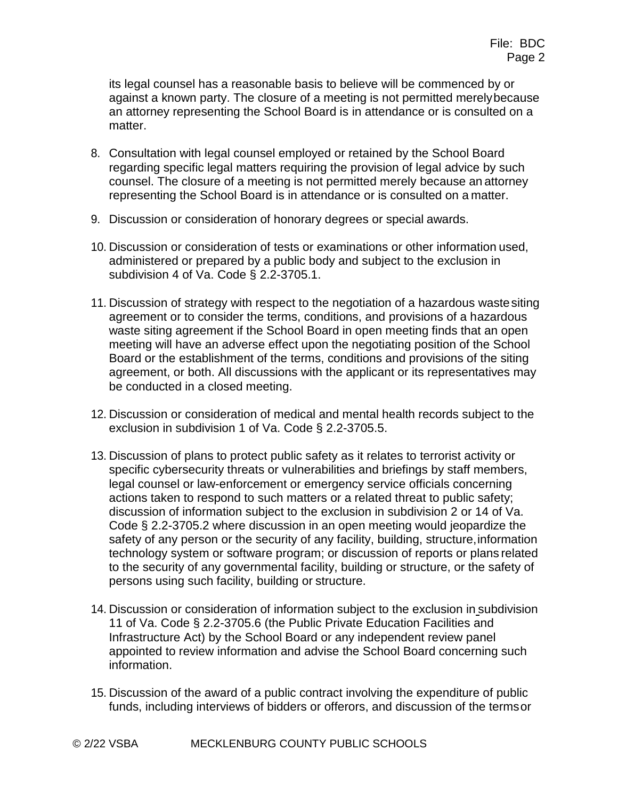its legal counsel has a reasonable basis to believe will be commenced by or against a known party. The closure of a meeting is not permitted merelybecause an attorney representing the School Board is in attendance or is consulted on a matter.

- 8. Consultation with legal counsel employed or retained by the School Board regarding specific legal matters requiring the provision of legal advice by such counsel. The closure of a meeting is not permitted merely because an attorney representing the School Board is in attendance or is consulted on a matter.
- 9. Discussion or consideration of honorary degrees or special awards.
- 10. Discussion or consideration of tests or examinations or other information used, administered or prepared by a public body and subject to the exclusion in subdivision 4 of Va. Code § 2.2-3705.1.
- 11. Discussion of strategy with respect to the negotiation of a hazardous wastesiting agreement or to consider the terms, conditions, and provisions of a hazardous waste siting agreement if the School Board in open meeting finds that an open meeting will have an adverse effect upon the negotiating position of the School Board or the establishment of the terms, conditions and provisions of the siting agreement, or both. All discussions with the applicant or its representatives may be conducted in a closed meeting.
- 12. Discussion or consideration of medical and mental health records subject to the exclusion in subdivision 1 of Va. Code § 2.2-3705.5.
- 13. Discussion of plans to protect public safety as it relates to terrorist activity or specific cybersecurity threats or vulnerabilities and briefings by staff members, legal counsel or law-enforcement or emergency service officials concerning actions taken to respond to such matters or a related threat to public safety; discussion of information subject to the exclusion in subdivision 2 or 14 of Va. Code § 2.2-3705.2 where discussion in an open meeting would jeopardize the safety of any person or the security of any facility, building, structure,information technology system or software program; or discussion of reports or plans related to the security of any governmental facility, building or structure, or the safety of persons using such facility, building or structure.
- 14. Discussion or consideration of information subject to the exclusion in subdivision 11 of Va. Code § 2.2-3705.6 (the Public Private Education Facilities and Infrastructure Act) by the School Board or any independent review panel appointed to review information and advise the School Board concerning such information.
- 15. Discussion of the award of a public contract involving the expenditure of public funds, including interviews of bidders or offerors, and discussion of the termsor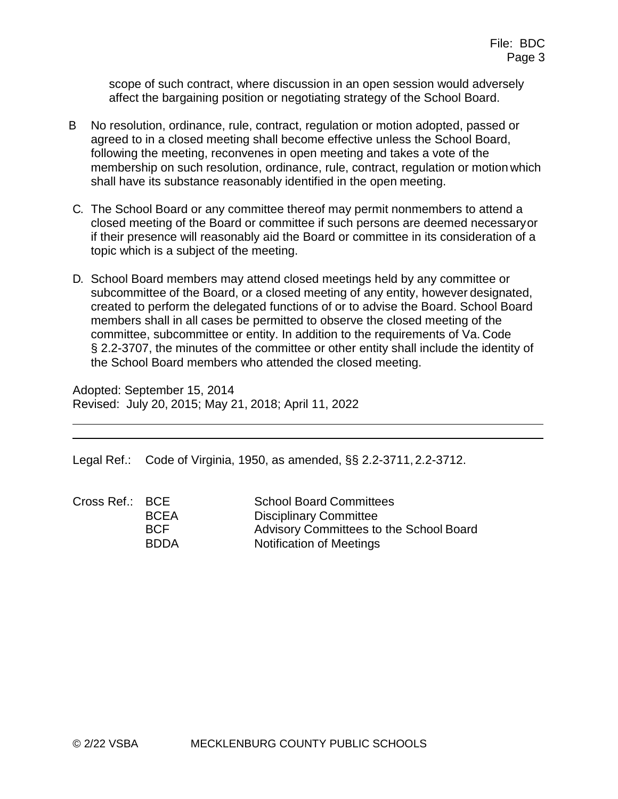scope of such contract, where discussion in an open session would adversely affect the bargaining position or negotiating strategy of the School Board.

- B No resolution, ordinance, rule, contract, regulation or motion adopted, passed or agreed to in a closed meeting shall become effective unless the School Board, following the meeting, reconvenes in open meeting and takes a vote of the membership on such resolution, ordinance, rule, contract, regulation or motion which shall have its substance reasonably identified in the open meeting.
- C. The School Board or any committee thereof may permit nonmembers to attend a closed meeting of the Board or committee if such persons are deemed necessaryor if their presence will reasonably aid the Board or committee in its consideration of a topic which is a subject of the meeting.
- D. School Board members may attend closed meetings held by any committee or subcommittee of the Board, or a closed meeting of any entity, however designated, created to perform the delegated functions of or to advise the Board. School Board members shall in all cases be permitted to observe the closed meeting of the committee, subcommittee or entity. In addition to the requirements of Va. Code § 2.2-3707, the minutes of the committee or other entity shall include the identity of the School Board members who attended the closed meeting.

Adopted: September 15, 2014 Revised: July 20, 2015; May 21, 2018; April 11, 2022

Legal Ref.: Code of Virginia, 1950, as amended, §§ 2.2-3711, 2.2-3712.

| Cross Ref.: BCE |             | <b>School Board Committees</b>          |
|-----------------|-------------|-----------------------------------------|
|                 | <b>BCEA</b> | <b>Disciplinary Committee</b>           |
|                 | <b>BCF</b>  | Advisory Committees to the School Board |
|                 | <b>BDDA</b> | Notification of Meetings                |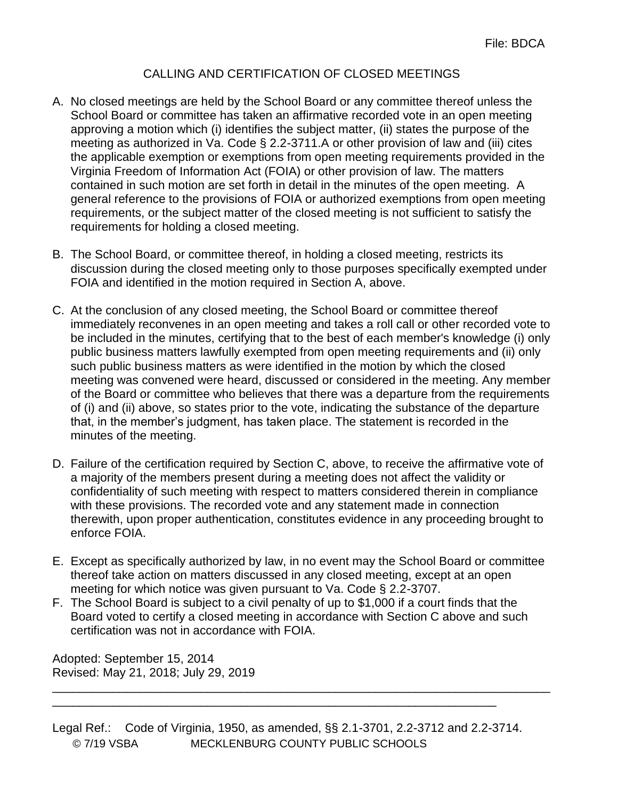# CALLING AND CERTIFICATION OF CLOSED MEETINGS

- A. No closed meetings are held by the School Board or any committee thereof unless the School Board or committee has taken an affirmative recorded vote in an open meeting approving a motion which (i) identifies the subject matter, (ii) states the purpose of the meeting as authorized in Va. Code § 2.2-3711.A or other provision of law and (iii) cites the applicable exemption or exemptions from open meeting requirements provided in the Virginia Freedom of Information Act (FOIA) or other provision of law. The matters contained in such motion are set forth in detail in the minutes of the open meeting. A general reference to the provisions of FOIA or authorized exemptions from open meeting requirements, or the subject matter of the closed meeting is not sufficient to satisfy the requirements for holding a closed meeting.
- B. The School Board, or committee thereof, in holding a closed meeting, restricts its discussion during the closed meeting only to those purposes specifically exempted under FOIA and identified in the motion required in Section A, above.
- C. At the conclusion of any closed meeting, the School Board or committee thereof immediately reconvenes in an open meeting and takes a roll call or other recorded vote to be included in the minutes, certifying that to the best of each member's knowledge (i) only public business matters lawfully exempted from open meeting requirements and (ii) only such public business matters as were identified in the motion by which the closed meeting was convened were heard, discussed or considered in the meeting. Any member of the Board or committee who believes that there was a departure from the requirements of (i) and (ii) above, so states prior to the vote, indicating the substance of the departure that, in the member's judgment, has taken place. The statement is recorded in the minutes of the meeting.
- D. Failure of the certification required by Section C, above, to receive the affirmative vote of a majority of the members present during a meeting does not affect the validity or confidentiality of such meeting with respect to matters considered therein in compliance with these provisions. The recorded vote and any statement made in connection therewith, upon proper authentication, constitutes evidence in any proceeding brought to enforce FOIA.
- E. Except as specifically authorized by law, in no event may the School Board or committee thereof take action on matters discussed in any closed meeting, except at an open meeting for which notice was given pursuant to Va. Code § 2.2-3707.
- F. The School Board is subject to a civil penalty of up to \$1,000 if a court finds that the Board voted to certify a closed meeting in accordance with Section C above and such certification was not in accordance with FOIA.

Adopted: September 15, 2014 Revised: May 21, 2018; July 29, 2019

© 7/19 VSBA MECKLENBURG COUNTY PUBLIC SCHOOLS Legal Ref.: Code of Virginia, 1950, as amended, §§ 2.1-3701, 2.2-3712 and 2.2-3714.

\_\_\_\_\_\_\_\_\_\_\_\_\_\_\_\_\_\_\_\_\_\_\_\_\_\_\_\_\_\_\_\_\_\_\_\_\_\_\_\_\_\_\_\_\_\_\_\_\_\_\_\_\_\_\_\_\_\_\_\_\_\_\_\_\_\_

\_\_\_\_\_\_\_\_\_\_\_\_\_\_\_\_\_\_\_\_\_\_\_\_\_\_\_\_\_\_\_\_\_\_\_\_\_\_\_\_\_\_\_\_\_\_\_\_\_\_\_\_\_\_\_\_\_\_\_\_\_\_\_\_\_\_\_\_\_\_\_\_\_\_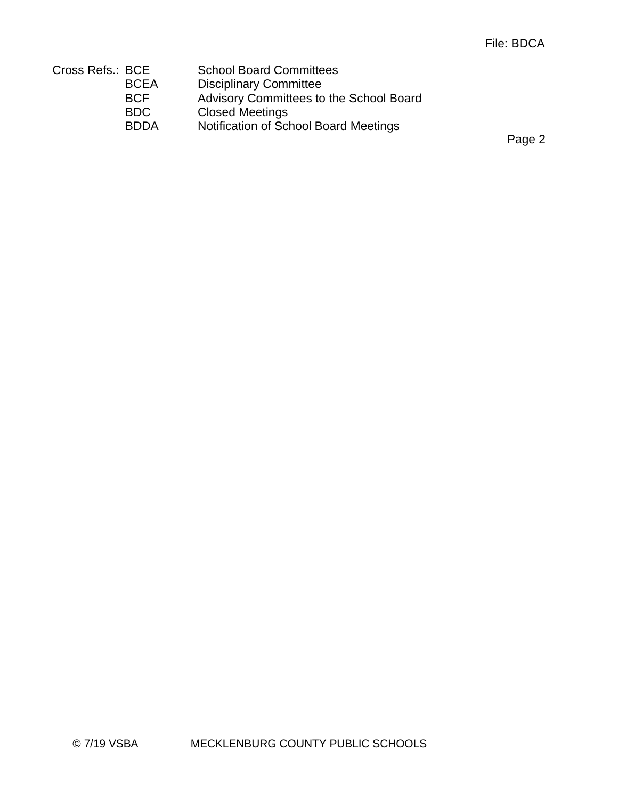| Cross Refs.: BCE |             | <b>School Board Committees</b>          |
|------------------|-------------|-----------------------------------------|
|                  | <b>BCEA</b> | <b>Disciplinary Committee</b>           |
|                  | <b>BCF</b>  | Advisory Committees to the School Board |
|                  | BDC.        | <b>Closed Meetings</b>                  |
|                  | <b>BDDA</b> | Notification of School Board Meetings   |

Page 2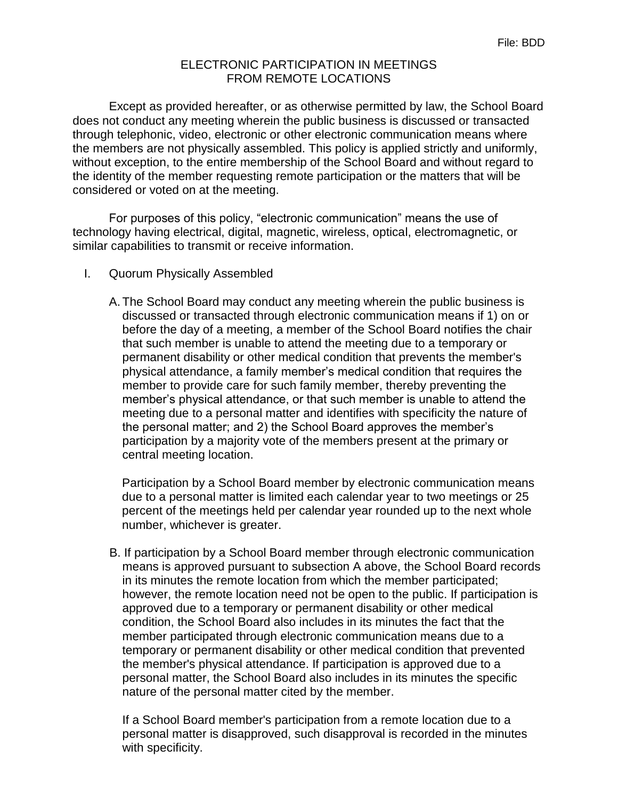## ELECTRONIC PARTICIPATION IN MEETINGS FROM REMOTE LOCATIONS

Except as provided hereafter, or as otherwise permitted by law, the School Board does not conduct any meeting wherein the public business is discussed or transacted through telephonic, video, electronic or other electronic communication means where the members are not physically assembled. This policy is applied strictly and uniformly, without exception, to the entire membership of the School Board and without regard to the identity of the member requesting remote participation or the matters that will be considered or voted on at the meeting.

For purposes of this policy, "electronic communication" means the use of technology having electrical, digital, magnetic, wireless, optical, electromagnetic, or similar capabilities to transmit or receive information.

- I. Quorum Physically Assembled
	- A.The School Board may conduct any meeting wherein the public business is discussed or transacted through electronic communication means if 1) on or before the day of a meeting, a member of the School Board notifies the chair that such member is unable to attend the meeting due to a temporary or permanent disability or other medical condition that prevents the member's physical attendance, a family member's medical condition that requires the member to provide care for such family member, thereby preventing the member's physical attendance, or that such member is unable to attend the meeting due to a personal matter and identifies with specificity the nature of the personal matter; and 2) the School Board approves the member's participation by a majority vote of the members present at the primary or central meeting location.

Participation by a School Board member by electronic communication means due to a personal matter is limited each calendar year to two meetings or 25 percent of the meetings held per calendar year rounded up to the next whole number, whichever is greater.

B. If participation by a School Board member through electronic communication means is approved pursuant to subsection A above, the School Board records in its minutes the remote location from which the member participated; however, the remote location need not be open to the public. If participation is approved due to a temporary or permanent disability or other medical condition, the School Board also includes in its minutes the fact that the member participated through electronic communication means due to a temporary or permanent disability or other medical condition that prevented the member's physical attendance. If participation is approved due to a personal matter, the School Board also includes in its minutes the specific nature of the personal matter cited by the member.

If a School Board member's participation from a remote location due to a personal matter is disapproved, such disapproval is recorded in the minutes with specificity.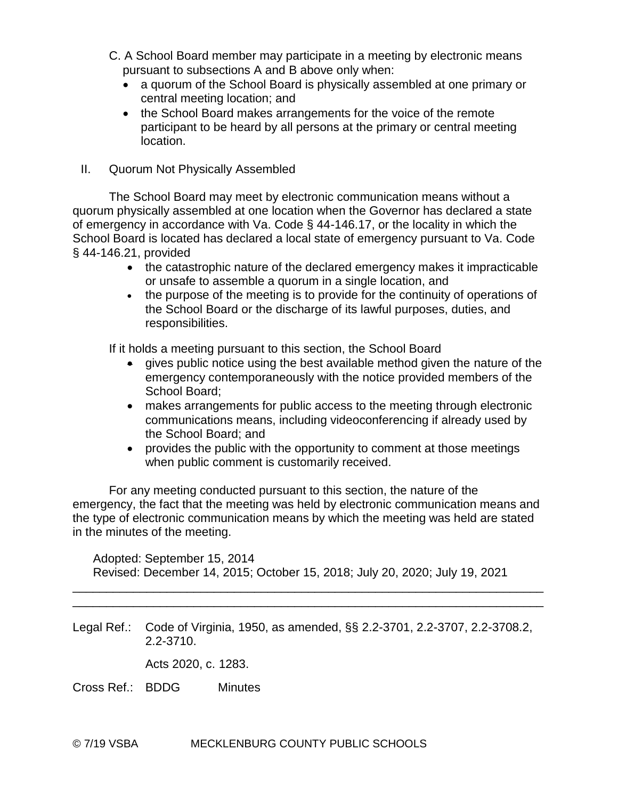- C. A School Board member may participate in a meeting by electronic means pursuant to subsections A and B above only when:
	- a quorum of the School Board is physically assembled at one primary or central meeting location; and
	- the School Board makes arrangements for the voice of the remote participant to be heard by all persons at the primary or central meeting location.
- II. Quorum Not Physically Assembled

The School Board may meet by electronic communication means without a quorum physically assembled at one location when the Governor has declared a state of emergency in accordance with Va. Code § 44-146.17, or the locality in which the School Board is located has declared a local state of emergency pursuant to Va. Code § 44-146.21, provided

- the catastrophic nature of the declared emergency makes it impracticable or unsafe to assemble a quorum in a single location, and
- the purpose of the meeting is to provide for the continuity of operations of the School Board or the discharge of its lawful purposes, duties, and responsibilities.

If it holds a meeting pursuant to this section, the School Board

- gives public notice using the best available method given the nature of the emergency contemporaneously with the notice provided members of the School Board;
- makes arrangements for public access to the meeting through electronic communications means, including videoconferencing if already used by the School Board; and
- provides the public with the opportunity to comment at those meetings when public comment is customarily received.

For any meeting conducted pursuant to this section, the nature of the emergency, the fact that the meeting was held by electronic communication means and the type of electronic communication means by which the meeting was held are stated in the minutes of the meeting.

Adopted: September 15, 2014 Revised: December 14, 2015; October 15, 2018; July 20, 2020; July 19, 2021

\_\_\_\_\_\_\_\_\_\_\_\_\_\_\_\_\_\_\_\_\_\_\_\_\_\_\_\_\_\_\_\_\_\_\_\_\_\_\_\_\_\_\_\_\_\_\_\_\_\_\_\_\_\_\_\_\_\_\_\_\_\_\_\_\_\_\_\_\_\_ \_\_\_\_\_\_\_\_\_\_\_\_\_\_\_\_\_\_\_\_\_\_\_\_\_\_\_\_\_\_\_\_\_\_\_\_\_\_\_\_\_\_\_\_\_\_\_\_\_\_\_\_\_\_\_\_\_\_\_\_\_\_\_\_\_\_\_\_\_\_

Legal Ref.: Code of Virginia, 1950, as amended, §§ 2.2-3701, 2.2-3707, 2.2-3708.2, 2.2-3710.

Acts 2020, c. 1283.

Cross Ref.: BDDG Minutes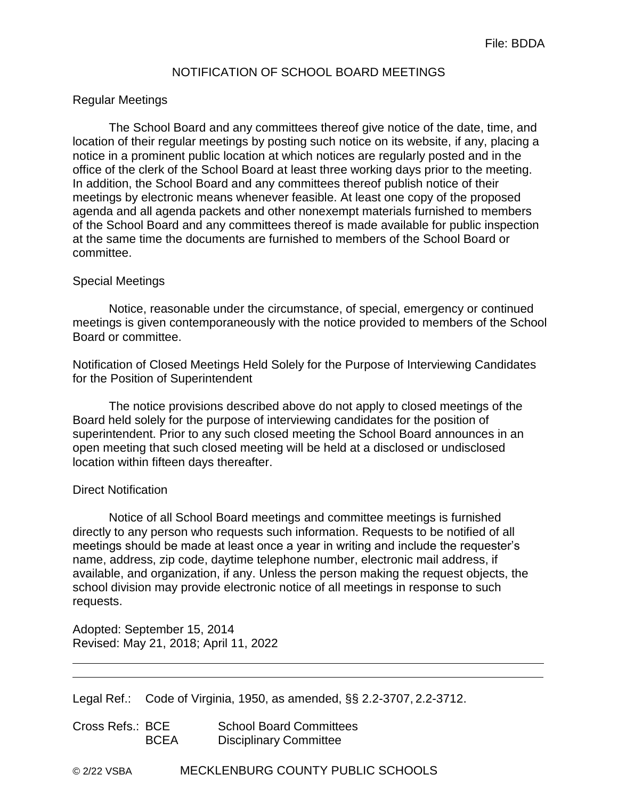## NOTIFICATION OF SCHOOL BOARD MEETINGS

#### Regular Meetings

The School Board and any committees thereof give notice of the date, time, and location of their regular meetings by posting such notice on its website, if any, placing a notice in a prominent public location at which notices are regularly posted and in the office of the clerk of the School Board at least three working days prior to the meeting. In addition, the School Board and any committees thereof publish notice of their meetings by electronic means whenever feasible. At least one copy of the proposed agenda and all agenda packets and other nonexempt materials furnished to members of the School Board and any committees thereof is made available for public inspection at the same time the documents are furnished to members of the School Board or committee.

#### Special Meetings

Notice, reasonable under the circumstance, of special, emergency or continued meetings is given contemporaneously with the notice provided to members of the School Board or committee.

Notification of Closed Meetings Held Solely for the Purpose of Interviewing Candidates for the Position of Superintendent

The notice provisions described above do not apply to closed meetings of the Board held solely for the purpose of interviewing candidates for the position of superintendent. Prior to any such closed meeting the School Board announces in an open meeting that such closed meeting will be held at a disclosed or undisclosed location within fifteen days thereafter.

#### Direct Notification

Notice of all School Board meetings and committee meetings is furnished directly to any person who requests such information. Requests to be notified of all meetings should be made at least once a year in writing and include the requester's name, address, zip code, daytime telephone number, electronic mail address, if available, and organization, if any. Unless the person making the request objects, the school division may provide electronic notice of all meetings in response to such requests.

Adopted: September 15, 2014 Revised: May 21, 2018; April 11, 2022

|  |  |  | Legal Ref.: Code of Virginia, 1950, as amended, §§ 2.2-3707, 2.2-3712. |
|--|--|--|------------------------------------------------------------------------|
|--|--|--|------------------------------------------------------------------------|

| Cross Refs.: BCE |             | <b>School Board Committees</b> |
|------------------|-------------|--------------------------------|
|                  | <b>BCEA</b> | <b>Disciplinary Committee</b>  |

© 2/22 VSBA MECKLENBURG COUNTY PUBLIC SCHOOLS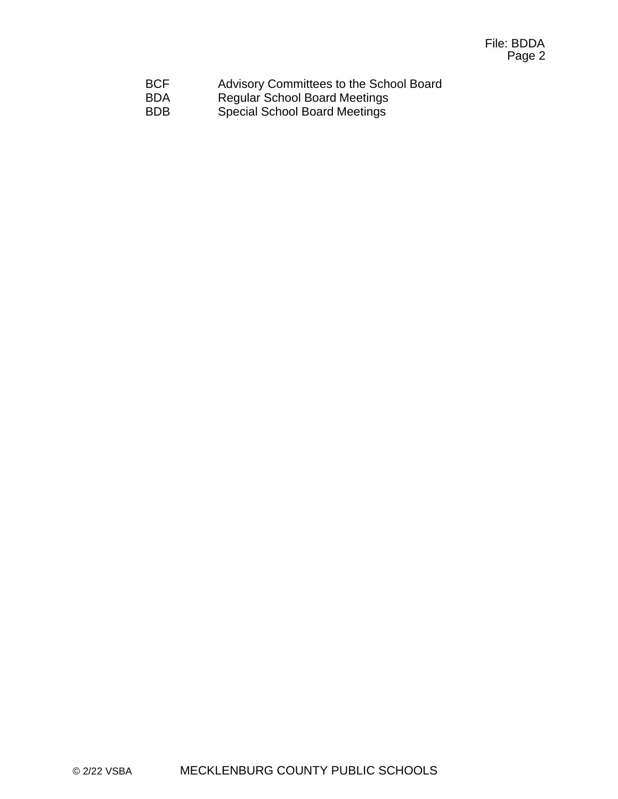| <b>BCF</b> | Advisory Committees to the School Board |
|------------|-----------------------------------------|
| <b>BDA</b> | <b>Regular School Board Meetings</b>    |
| <b>BDB</b> | <b>Special School Board Meetings</b>    |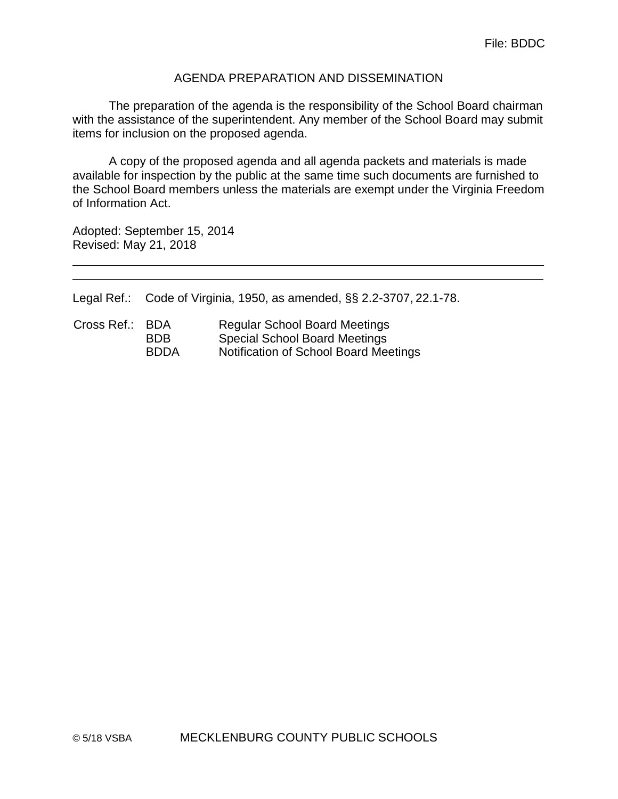#### AGENDA PREPARATION AND DISSEMINATION

The preparation of the agenda is the responsibility of the School Board chairman with the assistance of the superintendent. Any member of the School Board may submit items for inclusion on the proposed agenda.

A copy of the proposed agenda and all agenda packets and materials is made available for inspection by the public at the same time such documents are furnished to the School Board members unless the materials are exempt under the Virginia Freedom of Information Act.

Adopted: September 15, 2014 Revised: May 21, 2018

Legal Ref.: Code of Virginia, 1950, as amended, §§ 2.2-3707, 22.1-78.

| Cross Ref.: BDA |             | <b>Regular School Board Meetings</b>  |
|-----------------|-------------|---------------------------------------|
|                 | BDB.        | <b>Special School Board Meetings</b>  |
|                 | <b>BDDA</b> | Notification of School Board Meetings |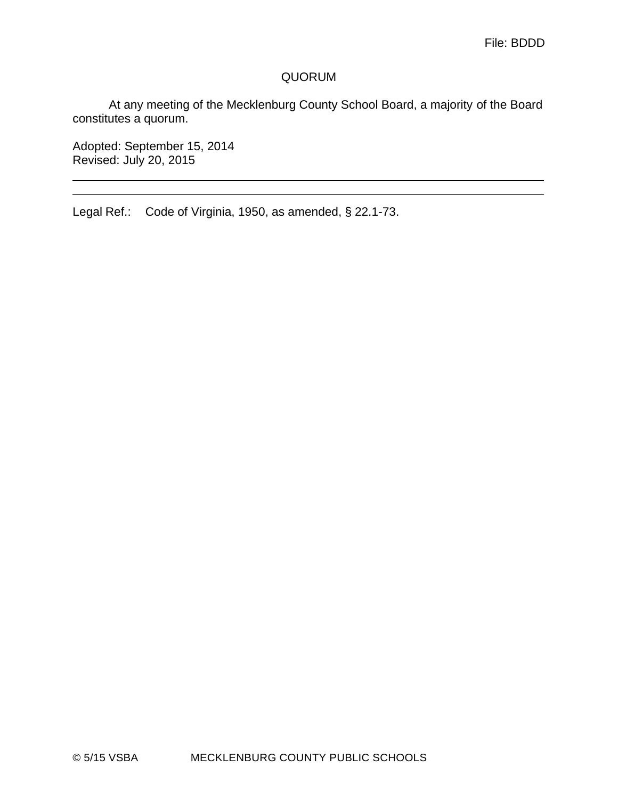## QUORUM

At any meeting of the Mecklenburg County School Board, a majority of the Board constitutes a quorum.

Adopted: September 15, 2014 Revised: July 20, 2015

Legal Ref.: Code of Virginia, 1950, as amended, § 22.1-73.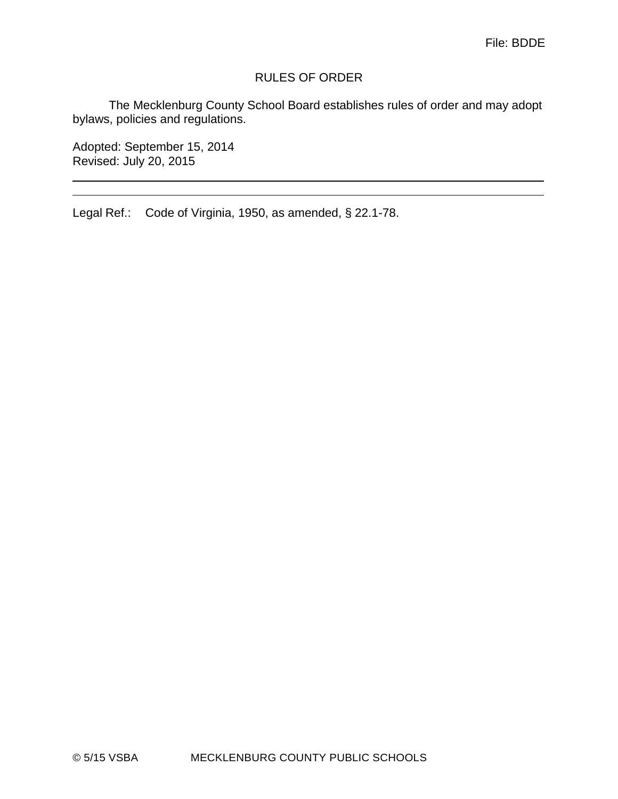## RULES OF ORDER

The Mecklenburg County School Board establishes rules of order and may adopt bylaws, policies and regulations.

<u> 1989 - Johann Stoff, amerikansk politiker (\* 1908)</u>

Adopted: September 15, 2014 Revised: July 20, 2015

Legal Ref.: Code of Virginia, 1950, as amended, § 22.1-78.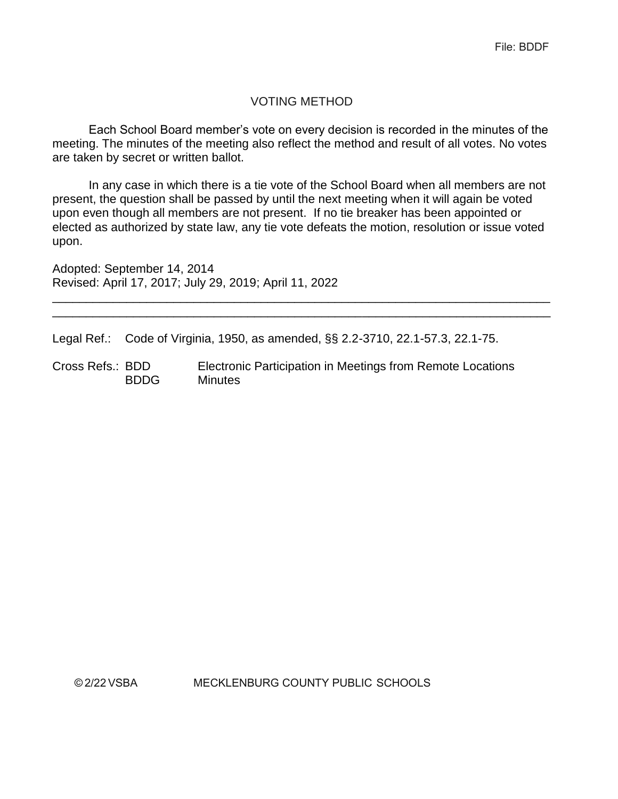## VOTING METHOD

Each School Board member's vote on every decision is recorded in the minutes of the meeting. The minutes of the meeting also reflect the method and result of all votes. No votes are taken by secret or written ballot.

In any case in which there is a tie vote of the School Board when all members are not present, the question shall be passed by until the next meeting when it will again be voted upon even though all members are not present. If no tie breaker has been appointed or elected as authorized by state law, any tie vote defeats the motion, resolution or issue voted upon.

\_\_\_\_\_\_\_\_\_\_\_\_\_\_\_\_\_\_\_\_\_\_\_\_\_\_\_\_\_\_\_\_\_\_\_\_\_\_\_\_\_\_\_\_\_\_\_\_\_\_\_\_\_\_\_\_\_\_\_\_\_\_\_\_\_\_\_\_\_\_\_\_\_\_ \_\_\_\_\_\_\_\_\_\_\_\_\_\_\_\_\_\_\_\_\_\_\_\_\_\_\_\_\_\_\_\_\_\_\_\_\_\_\_\_\_\_\_\_\_\_\_\_\_\_\_\_\_\_\_\_\_\_\_\_\_\_\_\_\_\_\_\_\_\_\_\_\_\_

Adopted: September 14, 2014 Revised: April 17, 2017; July 29, 2019; April 11, 2022

Legal Ref.: Code of Virginia, 1950, as amended, §§ 2.2-3710, 22.1-57.3, 22.1-75.

Cross Refs.: BDD Electronic Participation in Meetings from Remote Locations BDDG Minutes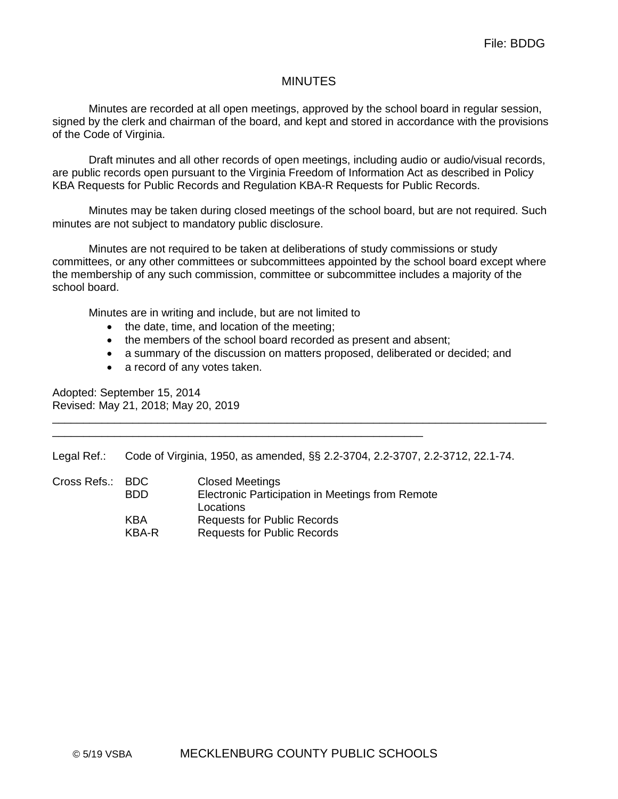#### MINUTES

Minutes are recorded at all open meetings, approved by the school board in regular session, signed by the clerk and chairman of the board, and kept and stored in accordance with the provisions of the Code of Virginia.

Draft minutes and all other records of open meetings, including audio or audio/visual records, are public records open pursuant to the Virginia Freedom of Information Act as described in Policy KBA Requests for Public Records and Regulation KBA-R Requests for Public Records.

Minutes may be taken during closed meetings of the school board, but are not required. Such minutes are not subject to mandatory public disclosure.

Minutes are not required to be taken at deliberations of study commissions or study committees, or any other committees or subcommittees appointed by the school board except where the membership of any such commission, committee or subcommittee includes a majority of the school board.

Minutes are in writing and include, but are not limited to

- the date, time, and location of the meeting;
- the members of the school board recorded as present and absent;
- a summary of the discussion on matters proposed, deliberated or decided; and
- a record of any votes taken.

Adopted: September 15, 2014 Revised: May 21, 2018; May 20, 2019

Legal Ref.: Code of Virginia, 1950, as amended, §§ 2.2-3704, 2.2-3707, 2.2-3712, 22.1-74.

\_\_\_\_\_\_\_\_\_\_\_\_\_\_\_\_\_\_\_\_\_\_\_\_\_\_\_\_\_\_\_\_\_\_\_\_\_\_\_\_\_\_\_\_\_\_\_\_\_\_\_\_\_\_\_\_\_\_\_\_\_\_\_\_\_\_\_\_\_\_\_\_\_\_\_\_\_\_\_\_

| Cross Refs.: BDC |            | <b>Closed Meetings</b>                           |
|------------------|------------|--------------------------------------------------|
|                  | <b>BDD</b> | Electronic Participation in Meetings from Remote |
|                  |            | Locations                                        |
|                  | KBA        | <b>Requests for Public Records</b>               |
|                  | KBA-R      | <b>Requests for Public Records</b>               |

\_\_\_\_\_\_\_\_\_\_\_\_\_\_\_\_\_\_\_\_\_\_\_\_\_\_\_\_\_\_\_\_\_\_\_\_\_\_\_\_\_\_\_\_\_\_\_\_\_\_\_\_\_\_\_\_\_\_\_\_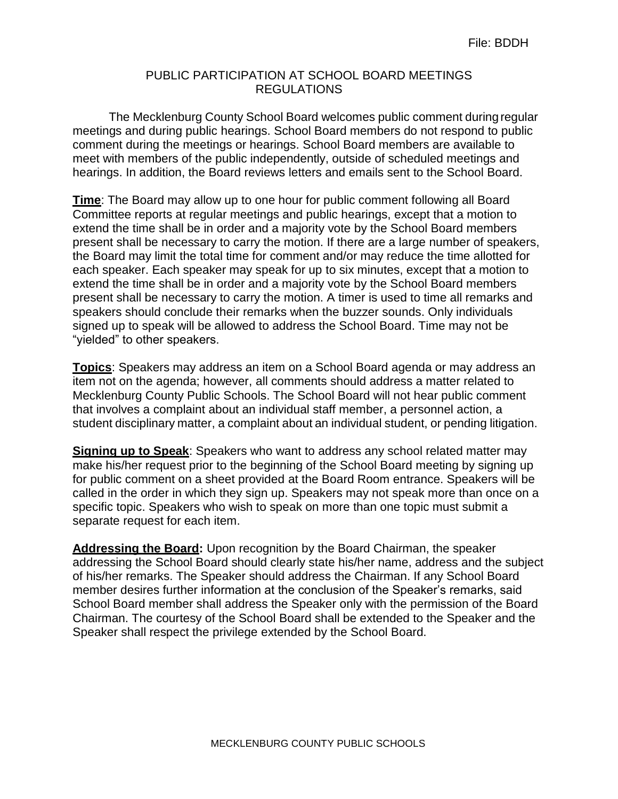#### PUBLIC PARTICIPATION AT SCHOOL BOARD MEETINGS REGULATIONS

The Mecklenburg County School Board welcomes public comment duringregular meetings and during public hearings. School Board members do not respond to public comment during the meetings or hearings. School Board members are available to meet with members of the public independently, outside of scheduled meetings and hearings. In addition, the Board reviews letters and emails sent to the School Board.

**Time**: The Board may allow up to one hour for public comment following all Board Committee reports at regular meetings and public hearings, except that a motion to extend the time shall be in order and a majority vote by the School Board members present shall be necessary to carry the motion. If there are a large number of speakers, the Board may limit the total time for comment and/or may reduce the time allotted for each speaker. Each speaker may speak for up to six minutes, except that a motion to extend the time shall be in order and a majority vote by the School Board members present shall be necessary to carry the motion. A timer is used to time all remarks and speakers should conclude their remarks when the buzzer sounds. Only individuals signed up to speak will be allowed to address the School Board. Time may not be "yielded" to other speakers.

**Topics**: Speakers may address an item on a School Board agenda or may address an item not on the agenda; however, all comments should address a matter related to Mecklenburg County Public Schools. The School Board will not hear public comment that involves a complaint about an individual staff member, a personnel action, a student disciplinary matter, a complaint about an individual student, or pending litigation.

**Signing up to Speak**: Speakers who want to address any school related matter may make his/her request prior to the beginning of the School Board meeting by signing up for public comment on a sheet provided at the Board Room entrance. Speakers will be called in the order in which they sign up. Speakers may not speak more than once on a specific topic. Speakers who wish to speak on more than one topic must submit a separate request for each item.

**Addressing the Board:** Upon recognition by the Board Chairman, the speaker addressing the School Board should clearly state his/her name, address and the subject of his/her remarks. The Speaker should address the Chairman. If any School Board member desires further information at the conclusion of the Speaker's remarks, said School Board member shall address the Speaker only with the permission of the Board Chairman. The courtesy of the School Board shall be extended to the Speaker and the Speaker shall respect the privilege extended by the School Board.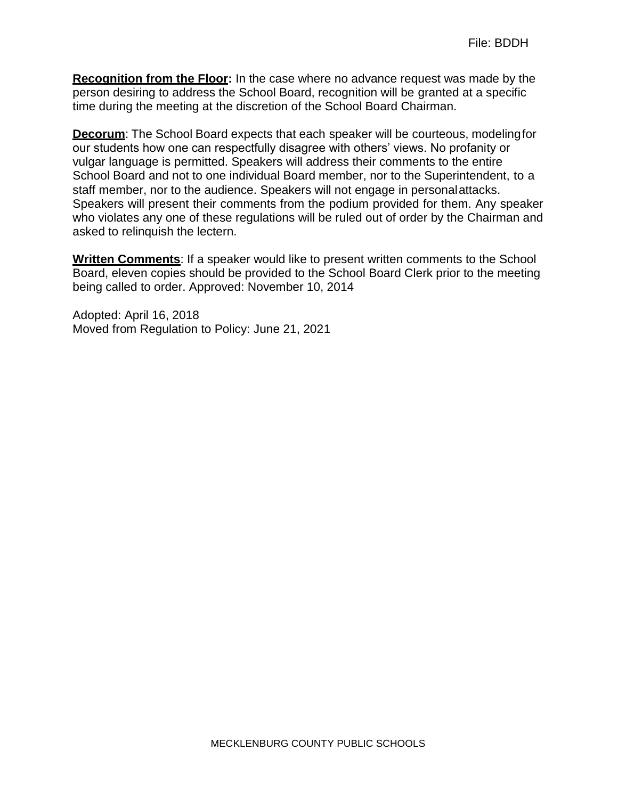**Recognition from the Floor:** In the case where no advance request was made by the person desiring to address the School Board, recognition will be granted at a specific time during the meeting at the discretion of the School Board Chairman.

**Decorum:** The School Board expects that each speaker will be courteous, modeling for our students how one can respectfully disagree with others' views. No profanity or vulgar language is permitted. Speakers will address their comments to the entire School Board and not to one individual Board member, nor to the Superintendent, to a staff member, nor to the audience. Speakers will not engage in personalattacks. Speakers will present their comments from the podium provided for them. Any speaker who violates any one of these regulations will be ruled out of order by the Chairman and asked to relinquish the lectern.

**Written Comments**: If a speaker would like to present written comments to the School Board, eleven copies should be provided to the School Board Clerk prior to the meeting being called to order. Approved: November 10, 2014

Adopted: April 16, 2018 Moved from Regulation to Policy: June 21, 2021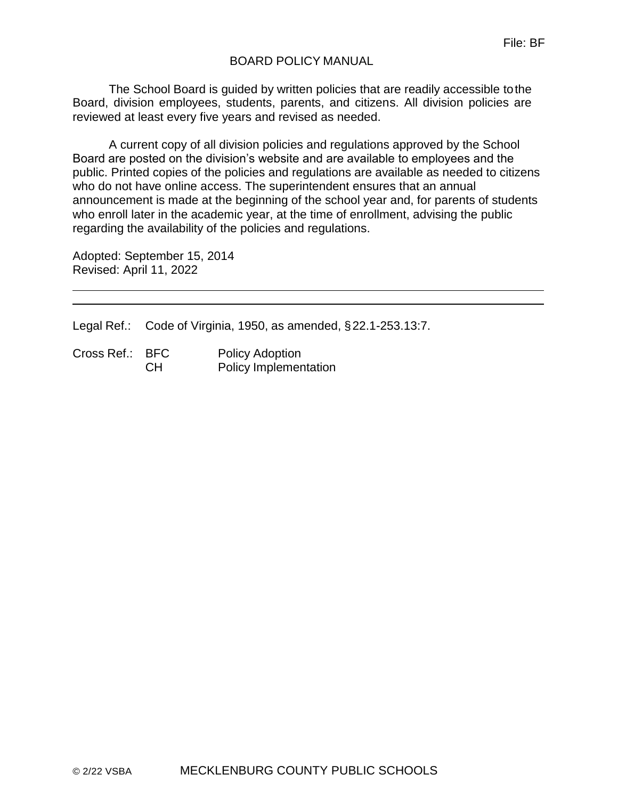## BOARD POLICY MANUAL

The School Board is guided by written policies that are readily accessible tothe Board, division employees, students, parents, and citizens. All division policies are reviewed at least every five years and revised as needed.

A current copy of all division policies and regulations approved by the School Board are posted on the division's website and are available to employees and the public. Printed copies of the policies and regulations are available as needed to citizens who do not have online access. The superintendent ensures that an annual announcement is made at the beginning of the school year and, for parents of students who enroll later in the academic year, at the time of enrollment, advising the public regarding the availability of the policies and regulations.

Adopted: September 15, 2014 Revised: April 11, 2022

Legal Ref.: Code of Virginia, 1950, as amended, §22.1-253.13:7.

| Cross Ref.: BFC |     | <b>Policy Adoption</b>       |
|-----------------|-----|------------------------------|
|                 | -CH | <b>Policy Implementation</b> |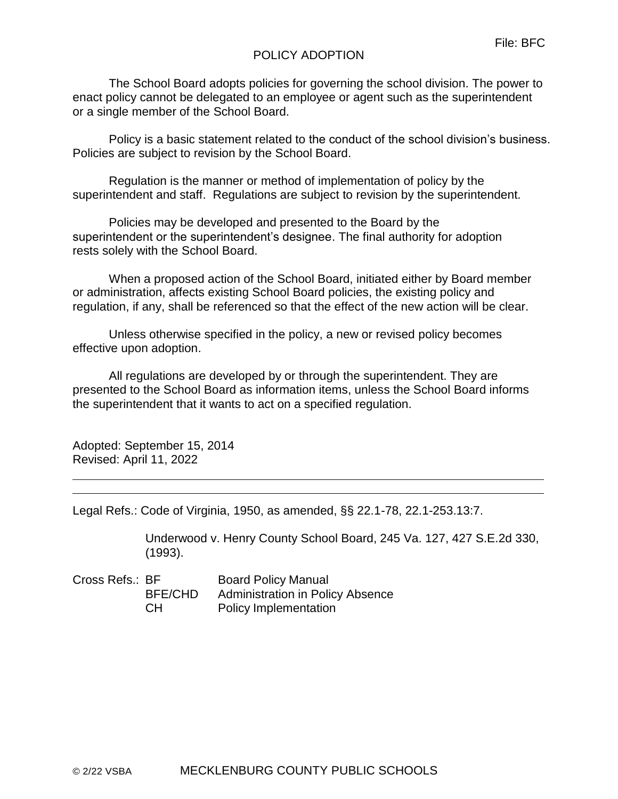## POLICY ADOPTION

The School Board adopts policies for governing the school division. The power to enact policy cannot be delegated to an employee or agent such as the superintendent or a single member of the School Board.

Policy is a basic statement related to the conduct of the school division's business. Policies are subject to revision by the School Board.

Regulation is the manner or method of implementation of policy by the superintendent and staff. Regulations are subject to revision by the superintendent.

Policies may be developed and presented to the Board by the superintendent or the superintendent's designee. The final authority for adoption rests solely with the School Board.

When a proposed action of the School Board, initiated either by Board member or administration, affects existing School Board policies, the existing policy and regulation, if any, shall be referenced so that the effect of the new action will be clear.

Unless otherwise specified in the policy, a new or revised policy becomes effective upon adoption.

All regulations are developed by or through the superintendent. They are presented to the School Board as information items, unless the School Board informs the superintendent that it wants to act on a specified regulation.

Adopted: September 15, 2014 Revised: April 11, 2022

Legal Refs.: Code of Virginia, 1950, as amended, §§ 22.1-78, 22.1-253.13:7.

Underwood v. Henry County School Board, 245 Va. 127, 427 S.E.2d 330, (1993).

Cross Refs.: BF Board Policy Manual BFE/CHD Administration in Policy Absence CH Policy Implementation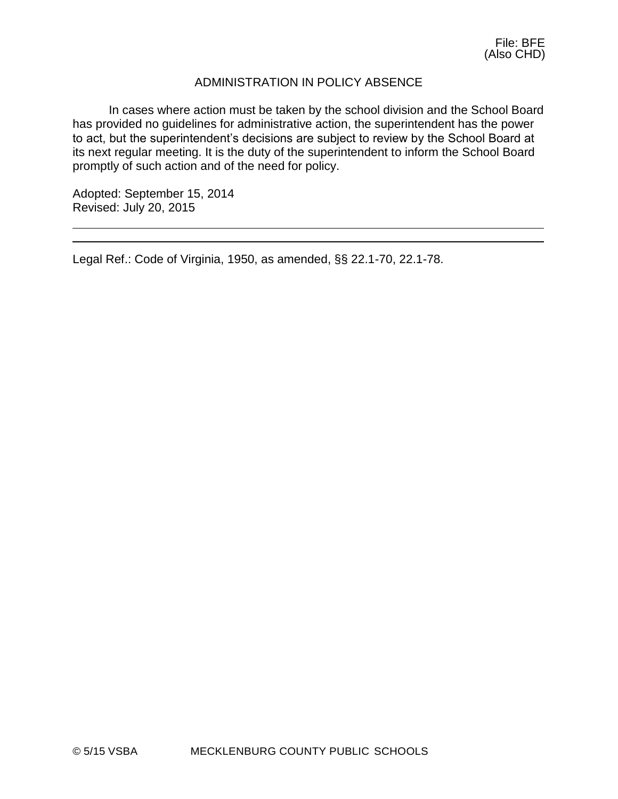## ADMINISTRATION IN POLICY ABSENCE

In cases where action must be taken by the school division and the School Board has provided no guidelines for administrative action, the superintendent has the power to act, but the superintendent's decisions are subject to review by the School Board at its next regular meeting. It is the duty of the superintendent to inform the School Board promptly of such action and of the need for policy.

Adopted: September 15, 2014 Revised: July 20, 2015

Legal Ref.: Code of Virginia, 1950, as amended, §§ 22.1-70, 22.1-78.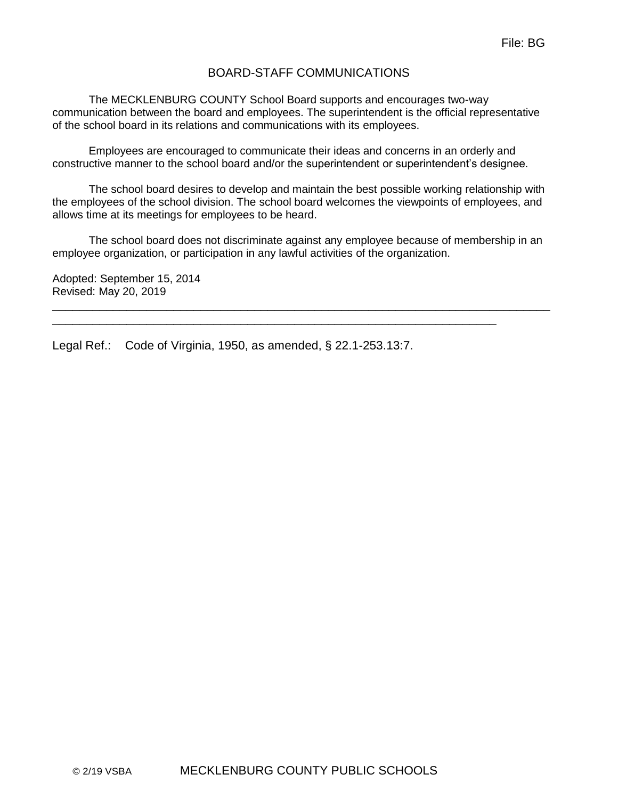## BOARD-STAFF COMMUNICATIONS

The MECKLENBURG COUNTY School Board supports and encourages two-way communication between the board and employees. The superintendent is the official representative of the school board in its relations and communications with its employees.

Employees are encouraged to communicate their ideas and concerns in an orderly and constructive manner to the school board and/or the superintendent or superintendent's designee.

The school board desires to develop and maintain the best possible working relationship with the employees of the school division. The school board welcomes the viewpoints of employees, and allows time at its meetings for employees to be heard.

The school board does not discriminate against any employee because of membership in an employee organization, or participation in any lawful activities of the organization.

\_\_\_\_\_\_\_\_\_\_\_\_\_\_\_\_\_\_\_\_\_\_\_\_\_\_\_\_\_\_\_\_\_\_\_\_\_\_\_\_\_\_\_\_\_\_\_\_\_\_\_\_\_\_\_\_\_\_\_\_\_\_\_\_\_\_\_\_\_\_\_\_\_\_

\_\_\_\_\_\_\_\_\_\_\_\_\_\_\_\_\_\_\_\_\_\_\_\_\_\_\_\_\_\_\_\_\_\_\_\_\_\_\_\_\_\_\_\_\_\_\_\_\_\_\_\_\_\_\_\_\_\_\_\_\_\_\_\_\_\_

Adopted: September 15, 2014 Revised: May 20, 2019

Legal Ref.: Code of Virginia, 1950, as amended, § 22.1-253.13:7.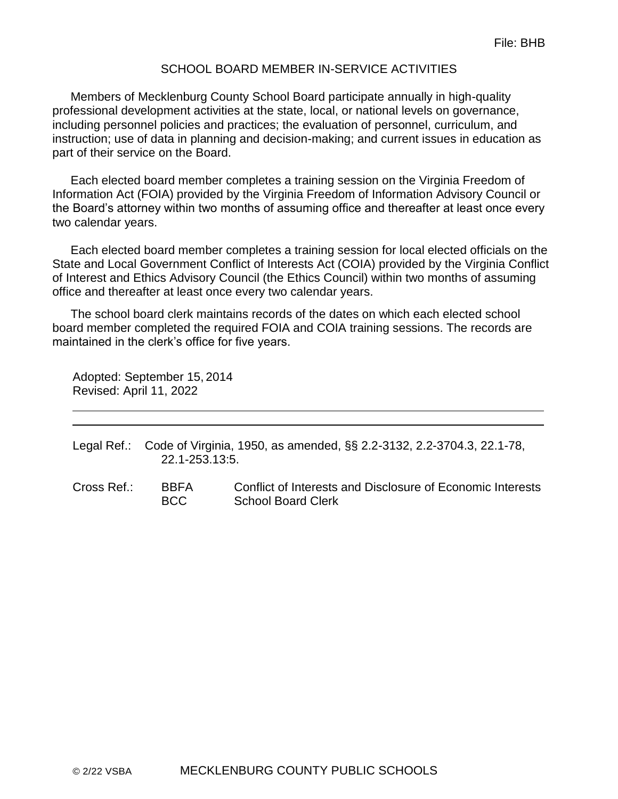#### SCHOOL BOARD MEMBER IN-SERVICE ACTIVITIES

Members of Mecklenburg County School Board participate annually in high-quality professional development activities at the state, local, or national levels on governance, including personnel policies and practices; the evaluation of personnel, curriculum, and instruction; use of data in planning and decision-making; and current issues in education as part of their service on the Board.

Each elected board member completes a training session on the Virginia Freedom of Information Act (FOIA) provided by the Virginia Freedom of Information Advisory Council or the Board's attorney within two months of assuming office and thereafter at least once every two calendar years.

Each elected board member completes a training session for local elected officials on the State and Local Government Conflict of Interests Act (COIA) provided by the Virginia Conflict of Interest and Ethics Advisory Council (the Ethics Council) within two months of assuming office and thereafter at least once every two calendar years.

The school board clerk maintains records of the dates on which each elected school board member completed the required FOIA and COIA training sessions. The records are maintained in the clerk's office for five years.

Adopted: September 15, 2014 Revised: April 11, 2022

Legal Ref.: Code of Virginia, 1950, as amended, §§ 2.2-3132, 2.2-3704.3, 22.1-78, 22.1-253.13:5.

Cross Ref.: BBFA Conflict of Interests and Disclosure of Economic Interests BCC School Board Clerk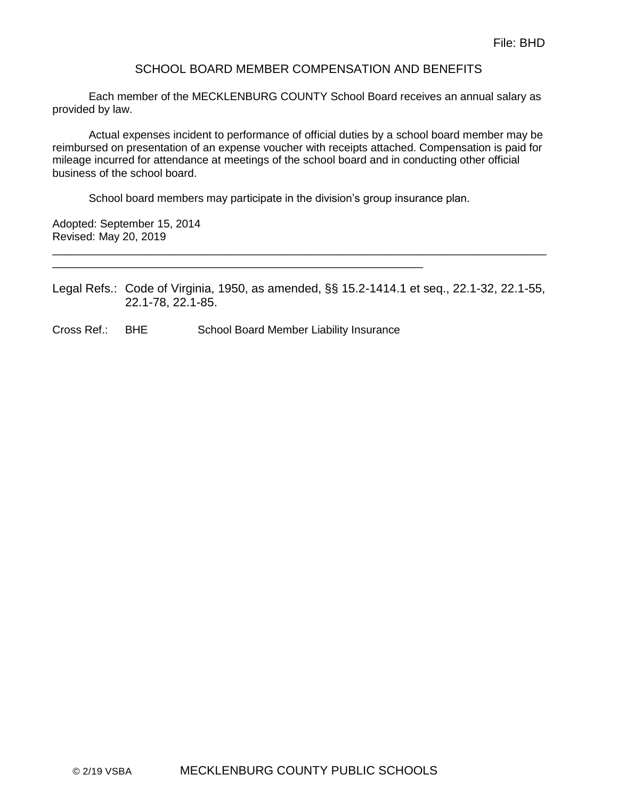#### SCHOOL BOARD MEMBER COMPENSATION AND BENEFITS

Each member of the MECKLENBURG COUNTY School Board receives an annual salary as provided by law.

Actual expenses incident to performance of official duties by a school board member may be reimbursed on presentation of an expense voucher with receipts attached. Compensation is paid for mileage incurred for attendance at meetings of the school board and in conducting other official business of the school board.

School board members may participate in the division's group insurance plan.

Adopted: September 15, 2014 Revised: May 20, 2019

Legal Refs.: Code of Virginia, 1950, as amended, §§ 15.2-1414.1 et seq., 22.1-32, 22.1-55, 22.1-78, 22.1-85.

\_\_\_\_\_\_\_\_\_\_\_\_\_\_\_\_\_\_\_\_\_\_\_\_\_\_\_\_\_\_\_\_\_\_\_\_\_\_\_\_\_\_\_\_\_\_\_\_\_\_\_\_\_\_\_\_\_\_\_\_\_\_\_\_\_\_\_\_\_\_\_\_\_\_\_\_\_\_\_\_

Cross Ref.: BHE School Board Member Liability Insurance

\_\_\_\_\_\_\_\_\_\_\_\_\_\_\_\_\_\_\_\_\_\_\_\_\_\_\_\_\_\_\_\_\_\_\_\_\_\_\_\_\_\_\_\_\_\_\_\_\_\_\_\_\_\_\_\_\_\_\_\_